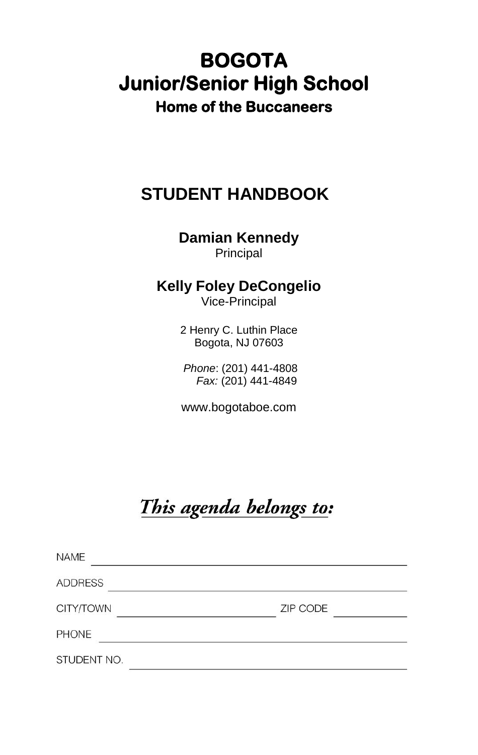# **BOGOTA Junior/Senior High School Home of the Buccaneers**

# **STUDENT HANDBOOK**

**Damian Kennedy** Principal

# **Kelly Foley DeCongelio**

Vice-Principal

2 Henry C. Luthin Place Bogota, NJ 07603

*Phone*: (201) 441-4808 *Fax:* (201) 441-4849

www.bogotaboe.com

# This agenda belongs to:

| <b>NAME</b>    |          |
|----------------|----------|
| <b>ADDRESS</b> |          |
| CITY/TOWN      | ZIP CODE |
| <b>PHONE</b>   |          |
| STUDENT NO.    |          |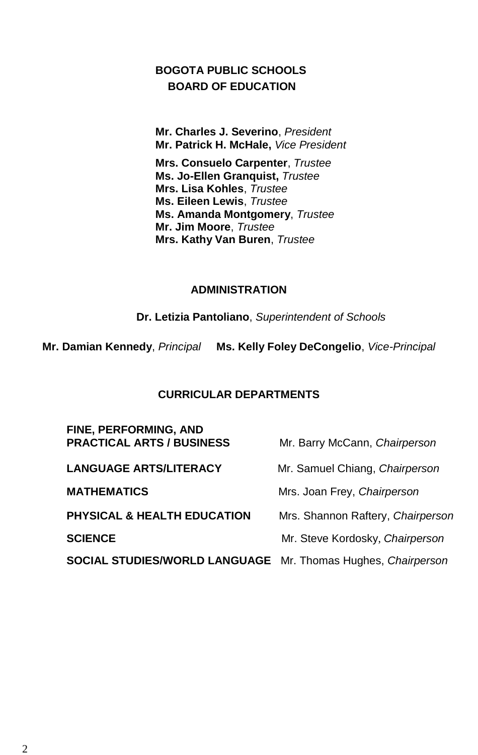### **BOGOTA PUBLIC SCHOOLS BOARD OF EDUCATION**

**Mr. Charles J. Severino**, *President* **Mr. Patrick H. McHale,** *Vice President*

**Mrs. Consuelo Carpenter**, *Trustee* **Ms. Jo-Ellen Granquist,** *Trustee* **Mrs. Lisa Kohles**, *Trustee* **Ms. Eileen Lewis**, *Trustee* **Ms. Amanda Montgomery**, *Trustee* **Mr. Jim Moore**, *Trustee* **Mrs. Kathy Van Buren**, *Trustee*

### **ADMINISTRATION**

**Dr. Letizia Pantoliano**, *Superintendent of Schools*

**Mr. Damian Kennedy**, *Principal* **Ms. Kelly Foley DeCongelio**, *Vice-Principal*

### **CURRICULAR DEPARTMENTS**

| <b>FINE, PERFORMING, AND</b><br><b>PRACTICAL ARTS / BUSINESS</b> | Mr. Barry McCann, Chairperson     |
|------------------------------------------------------------------|-----------------------------------|
| <b>LANGUAGE ARTS/LITERACY</b>                                    | Mr. Samuel Chiang, Chairperson    |
| <b>MATHEMATICS</b>                                               | Mrs. Joan Frey, Chairperson       |
| <b>PHYSICAL &amp; HEALTH EDUCATION</b>                           | Mrs. Shannon Raftery, Chairperson |
| <b>SCIENCE</b>                                                   | Mr. Steve Kordosky, Chairperson   |
| SOCIAL STUDIES/WORLD LANGUAGE Mr. Thomas Hughes, Chairperson     |                                   |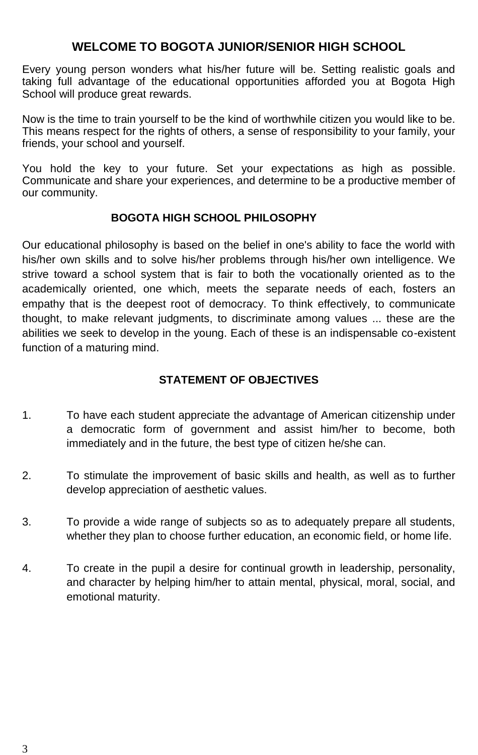### **WELCOME TO BOGOTA JUNIOR/SENIOR HIGH SCHOOL**

Every young person wonders what his/her future will be. Setting realistic goals and taking full advantage of the educational opportunities afforded you at Bogota High School will produce great rewards.

Now is the time to train yourself to be the kind of worthwhile citizen you would like to be. This means respect for the rights of others, a sense of responsibility to your family, your friends, your school and yourself.

You hold the key to your future. Set your expectations as high as possible. Communicate and share your experiences, and determine to be a productive member of our community.

### **BOGOTA HIGH SCHOOL PHILOSOPHY**

Our educational philosophy is based on the belief in one's ability to face the world with his/her own skills and to solve his/her problems through his/her own intelligence. We strive toward a school system that is fair to both the vocationally oriented as to the academically oriented, one which, meets the separate needs of each, fosters an empathy that is the deepest root of democracy. To think effectively, to communicate thought, to make relevant judgments, to discriminate among values ... these are the abilities we seek to develop in the young. Each of these is an indispensable co-existent function of a maturing mind.

### **STATEMENT OF OBJECTIVES**

- 1. To have each student appreciate the advantage of American citizenship under a democratic form of government and assist him/her to become, both immediately and in the future, the best type of citizen he/she can.
- 2. To stimulate the improvement of basic skills and health, as well as to further develop appreciation of aesthetic values.
- 3. To provide a wide range of subjects so as to adequately prepare all students, whether they plan to choose further education, an economic field, or home life.
- 4. To create in the pupil a desire for continual growth in leadership, personality, and character by helping him/her to attain mental, physical, moral, social, and emotional maturity.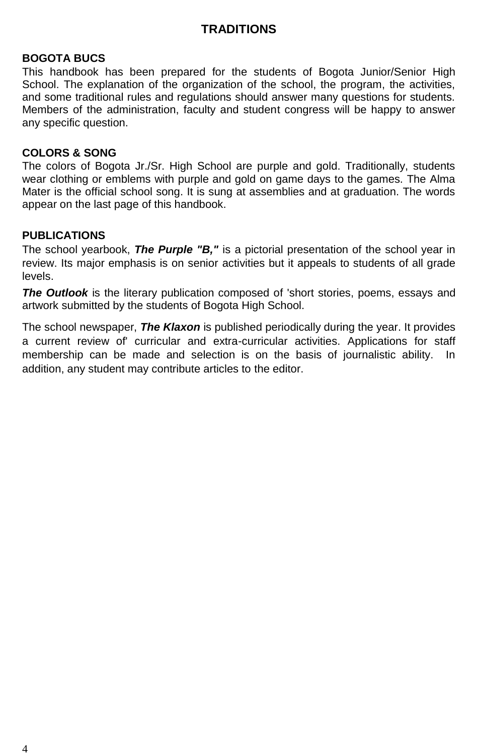### **TRADITIONS**

### **BOGOTA BUCS**

This handbook has been prepared for the students of Bogota Junior/Senior High School. The explanation of the organization of the school, the program, the activities, and some traditional rules and regulations should answer many questions for students. Members of the administration, faculty and student congress will be happy to answer any specific question.

#### **COLORS & SONG**

The colors of Bogota Jr./Sr. High School are purple and gold. Traditionally, students wear clothing or emblems with purple and gold on game days to the games. The Alma Mater is the official school song. It is sung at assemblies and at graduation. The words appear on the last page of this handbook.

### **PUBLICATIONS**

The school yearbook, *The Purple "B,"* is a pictorial presentation of the school year in review. Its major emphasis is on senior activities but it appeals to students of all grade levels.

*The Outlook* is the literary publication composed of 'short stories, poems, essays and artwork submitted by the students of Bogota High School.

The school newspaper, *The Klaxon* is published periodically during the year. It provides a current review of' curricular and extra-curricular activities. Applications for staff membership can be made and selection is on the basis of journalistic ability. addition, any student may contribute articles to the editor.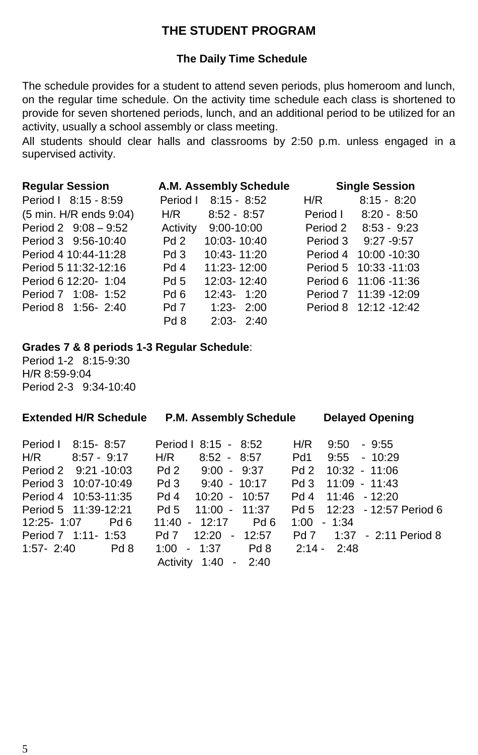### **THE STUDENT PROGRAM**

### **The Daily Time Schedule**

The schedule provides for a student to attend seven periods, plus homeroom and lunch, on the regular time schedule. On the activity time schedule each class is shortened to provide for seven shortened periods, lunch, and an additional period to be utilized for an activity, usually a school assembly or class meeting.

All students should clear halls and classrooms by 2:50 p.m. unless engaged in a supervised activity.

| <b>Regular Session</b>       | A.M. Assembly Schedule    |          | <b>Single Session</b> |
|------------------------------|---------------------------|----------|-----------------------|
| Period   8:15 - 8:59         | $8:15 - 8:52$<br>Period I | H/R      | $8:15 - 8:20$         |
| (5 min. H/R ends 9:04)       | $8:52 - 8:57$<br>H/R      | Period I | $8:20 - 8:50$         |
| Period $2 \quad 9:08 - 9:52$ | Activity 9:00-10:00       | Period 2 | $8:53 - 9:23$         |
| Period 3 9:56-10:40          | 10:03-10:40<br>Pd2        | Period 3 | $9:27 - 9:57$         |
| Period 4 10:44-11:28         | Pd3<br>10:43-11:20        | Period 4 | 10:00 -10:30          |
| Period 5 11:32-12:16         | Pd 4<br>11:23-12:00       |          | Period 5 10:33 -11:03 |
| Period 6 12:20- 1:04         | Pd 5<br>12:03-12:40       |          | Period 6 11:06 -11:36 |
| Period 7 1:08-1:52           | Pd 6<br>$12:43 - 1:20$    |          | Period 7 11:39 -12:09 |
| Period 8 1:56-2:40           | Pd 7<br>$1:23 - 2:00$     |          | Period 8 12:12 -12:42 |
|                              | Pd 8<br>$2:03 - 2:40$     |          |                       |

#### **Grades 7 & 8 periods 1-3 Regular Schedule**:

Period 1-2 8:15-9:30 H/R 8:59-9:04 Period 2-3 9:34-10:40

| <b>Extended H/R Schedule</b><br>P.M. Assembly Schedule |                                                      | <b>Delayed Opening</b>                             |
|--------------------------------------------------------|------------------------------------------------------|----------------------------------------------------|
| Period I<br>$8:15 - 8:57$<br>H/R<br>$8:57 - 9:17$      | Period   8:15 - 8:52<br>H/R<br>$8:52 - 8:57$         | H/R<br>9:50<br>$-9:55$<br>Pd1<br>$9:55 - 10:29$    |
| Period 2 9:21 - 10:03                                  | Pd 2<br>$9:00 - 9:37$                                | Pd 2<br>$10:32 - 11:06$                            |
| Period 3 10:07-10:49<br>Period 4 10:53-11:35           | $Pd3$ 9:40 - 10:17<br>Pd 4<br>$10:20 - 10:57$        | Pd 3<br>$11:09 - 11:43$<br>$11:46 - 12:20$<br>Pd 4 |
| Period 5 11:39-12:21                                   | Pd 5<br>$11:00 - 11:37$                              | Pd 5 12:23 - 12:57 Period 6                        |
| $12:25 - 1:07$<br>Pd 6<br>Period 7 1:11-1:53           | $11:40 - 12:17$<br>Pd 6<br>Pd 7<br>12:20<br>$-12:57$ | 1:00<br>$-1:34$<br>$1:37 - 2:11$ Period 8<br>Pd 7  |
| $1:57 - 2:40$<br>Pd 8                                  | Pd 8<br>1:00<br>$-1:37$                              | $2:14 - 2:48$                                      |
|                                                        | Activity 1:40 - 2:40                                 |                                                    |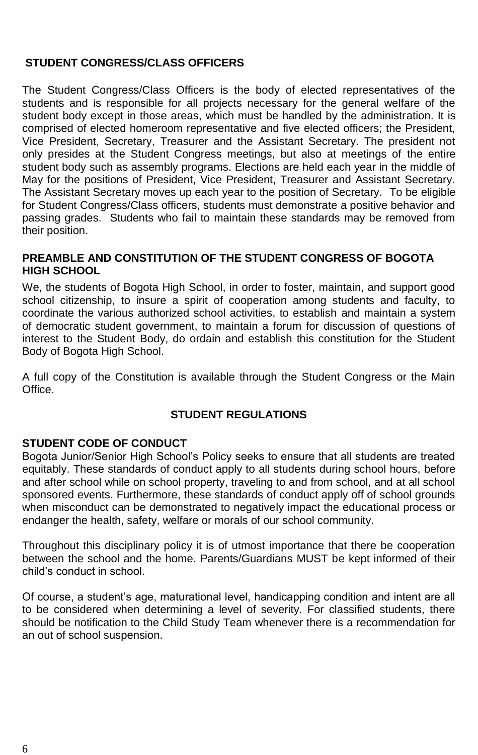### **STUDENT CONGRESS/CLASS OFFICERS**

The Student Congress/Class Officers is the body of elected representatives of the students and is responsible for all projects necessary for the general welfare of the student body except in those areas, which must be handled by the administration. It is comprised of elected homeroom representative and five elected officers; the President, Vice President, Secretary, Treasurer and the Assistant Secretary. The president not only presides at the Student Congress meetings, but also at meetings of the entire student body such as assembly programs. Elections are held each year in the middle of May for the positions of President, Vice President, Treasurer and Assistant Secretary. The Assistant Secretary moves up each year to the position of Secretary. To be eligible for Student Congress/Class officers, students must demonstrate a positive behavior and passing grades. Students who fail to maintain these standards may be removed from their position.

### **PREAMBLE AND CONSTITUTION OF THE STUDENT CONGRESS OF BOGOTA HIGH SCHOOL**

We, the students of Bogota High School, in order to foster, maintain, and support good school citizenship, to insure a spirit of cooperation among students and faculty, to coordinate the various authorized school activities, to establish and maintain a system of democratic student government, to maintain a forum for discussion of questions of interest to the Student Body, do ordain and establish this constitution for the Student Body of Bogota High School.

A full copy of the Constitution is available through the Student Congress or the Main **Office** 

### **STUDENT REGULATIONS**

#### **STUDENT CODE OF CONDUCT**

Bogota Junior/Senior High School's Policy seeks to ensure that all students are treated equitably. These standards of conduct apply to all students during school hours, before and after school while on school property, traveling to and from school, and at all school sponsored events. Furthermore, these standards of conduct apply off of school grounds when misconduct can be demonstrated to negatively impact the educational process or endanger the health, safety, welfare or morals of our school community.

Throughout this disciplinary policy it is of utmost importance that there be cooperation between the school and the home. Parents/Guardians MUST be kept informed of their child's conduct in school.

Of course, a student's age, maturational level, handicapping condition and intent are all to be considered when determining a level of severity. For classified students, there should be notification to the Child Study Team whenever there is a recommendation for an out of school suspension.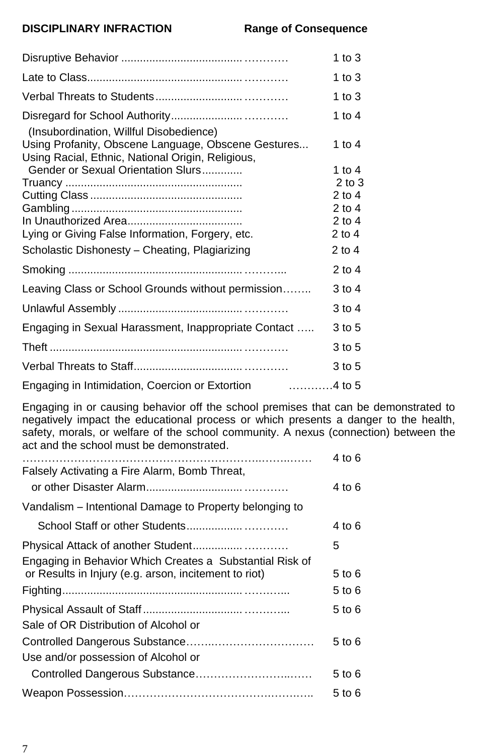### **DISCIPLINARY INFRACTION Range of Consequence**

|                                                                                                          | 1 to 3                 |
|----------------------------------------------------------------------------------------------------------|------------------------|
|                                                                                                          | 1 to $3$               |
|                                                                                                          | 1 to $3$               |
| (Insubordination, Willful Disobedience)                                                                  | 1 to 4                 |
| Using Profanity, Obscene Language, Obscene Gestures<br>Using Racial, Ethnic, National Origin, Religious, | 1 to 4                 |
| Gender or Sexual Orientation Slurs                                                                       | 1 to $4$               |
|                                                                                                          | $2$ to $3$<br>$2$ to 4 |
|                                                                                                          | $2$ to 4               |
|                                                                                                          | $2$ to 4               |
| Lying or Giving False Information, Forgery, etc.                                                         | $2$ to 4               |
| Scholastic Dishonesty - Cheating, Plagiarizing                                                           | $2$ to 4               |
|                                                                                                          | 2 to 4                 |
| Leaving Class or School Grounds without permission                                                       | 3 to 4                 |
|                                                                                                          | 3 to 4                 |
| Engaging in Sexual Harassment, Inappropriate Contact                                                     | 3 to 5                 |
|                                                                                                          | 3 to 5                 |
|                                                                                                          | 3 to 5                 |
| $\ldots \ldots \ldots$ .4 to 5<br>Engaging in Intimidation, Coercion or Extortion                        |                        |

Engaging in or causing behavior off the school premises that can be demonstrated to negatively impact the educational process or which presents a danger to the health, safety, morals, or welfare of the school community. A nexus (connection) between the act and the school must be demonstrated.

|                                                          | 4 to 6 |
|----------------------------------------------------------|--------|
| Falsely Activating a Fire Alarm, Bomb Threat,            |        |
|                                                          | 4 to 6 |
| Vandalism – Intentional Damage to Property belonging to  |        |
|                                                          | 4 to 6 |
|                                                          | 5      |
| Engaging in Behavior Which Creates a Substantial Risk of |        |
| or Results in Injury (e.g. arson, incitement to riot)    | 5 to 6 |
|                                                          | 5 to 6 |
|                                                          | 5 to 6 |
| Sale of OR Distribution of Alcohol or                    |        |
|                                                          | 5 to 6 |
| Use and/or possession of Alcohol or                      |        |
| Controlled Dangerous Substance                           | 5 to 6 |
|                                                          | 5 to 6 |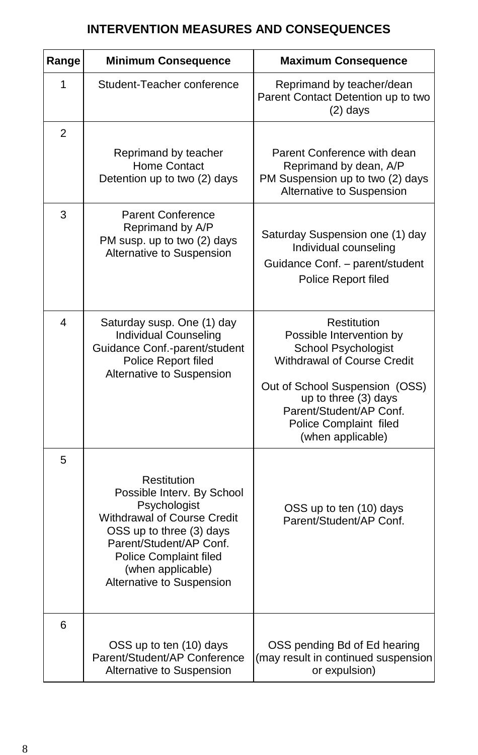### **INTERVENTION MEASURES AND CONSEQUENCES**

| Range          | <b>Minimum Consequence</b>                                                                                                                                                                                                  | <b>Maximum Consequence</b>                                                                                                                                                                                                        |  |
|----------------|-----------------------------------------------------------------------------------------------------------------------------------------------------------------------------------------------------------------------------|-----------------------------------------------------------------------------------------------------------------------------------------------------------------------------------------------------------------------------------|--|
| 1              | Student-Teacher conference                                                                                                                                                                                                  | Reprimand by teacher/dean<br>Parent Contact Detention up to two<br>$(2)$ days                                                                                                                                                     |  |
| $\overline{2}$ |                                                                                                                                                                                                                             |                                                                                                                                                                                                                                   |  |
|                | Reprimand by teacher<br>Home Contact<br>Detention up to two (2) days                                                                                                                                                        | Parent Conference with dean<br>Reprimand by dean, A/P<br>PM Suspension up to two (2) days<br>Alternative to Suspension                                                                                                            |  |
| 3              | <b>Parent Conference</b><br>Reprimand by A/P<br>PM susp. up to two (2) days<br>Alternative to Suspension                                                                                                                    | Saturday Suspension one (1) day<br>Individual counseling<br>Guidance Conf. - parent/student<br>Police Report filed                                                                                                                |  |
| 4              | Saturday susp. One (1) day<br>Individual Counseling<br>Guidance Conf.-parent/student<br>Police Report filed<br>Alternative to Suspension                                                                                    | Restitution<br>Possible Intervention by<br>School Psychologist<br>Withdrawal of Course Credit<br>Out of School Suspension (OSS)<br>up to three (3) days<br>Parent/Student/AP Conf.<br>Police Complaint filed<br>(when applicable) |  |
| 5              | Restitution<br>Possible Interv. By School<br>Psychologist<br>Withdrawal of Course Credit<br>OSS up to three (3) days<br>Parent/Student/AP Conf.<br>Police Complaint filed<br>(when applicable)<br>Alternative to Suspension | OSS up to ten (10) days<br>Parent/Student/AP Conf.                                                                                                                                                                                |  |
| 6              | OSS up to ten (10) days<br>Parent/Student/AP Conference<br>Alternative to Suspension                                                                                                                                        | OSS pending Bd of Ed hearing<br>(may result in continued suspension<br>or expulsion)                                                                                                                                              |  |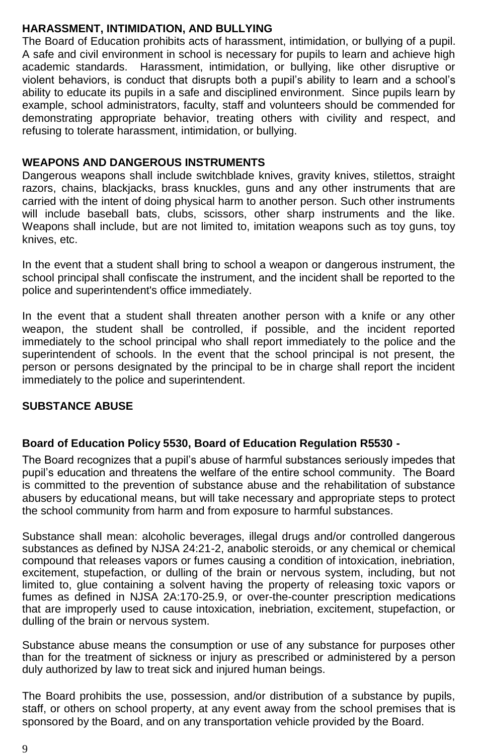### **HARASSMENT, INTIMIDATION, AND BULLYING**

The Board of Education prohibits acts of harassment, intimidation, or bullying of a pupil. A safe and civil environment in school is necessary for pupils to learn and achieve high academic standards. Harassment, intimidation, or bullying, like other disruptive or violent behaviors, is conduct that disrupts both a pupil's ability to learn and a school's ability to educate its pupils in a safe and disciplined environment. Since pupils learn by example, school administrators, faculty, staff and volunteers should be commended for demonstrating appropriate behavior, treating others with civility and respect, and refusing to tolerate harassment, intimidation, or bullying.

### **WEAPONS AND DANGEROUS INSTRUMENTS**

Dangerous weapons shall include switchblade knives, gravity knives, stilettos, straight razors, chains, blackjacks, brass knuckles, guns and any other instruments that are carried with the intent of doing physical harm to another person. Such other instruments will include baseball bats, clubs, scissors, other sharp instruments and the like. Weapons shall include, but are not limited to, imitation weapons such as toy guns, toy knives, etc.

In the event that a student shall bring to school a weapon or dangerous instrument, the school principal shall confiscate the instrument, and the incident shall be reported to the police and superintendent's office immediately.

In the event that a student shall threaten another person with a knife or any other weapon, the student shall be controlled, if possible, and the incident reported immediately to the school principal who shall report immediately to the police and the superintendent of schools. In the event that the school principal is not present, the person or persons designated by the principal to be in charge shall report the incident immediately to the police and superintendent.

### **SUBSTANCE ABUSE**

### **Board of Education Policy 5530, Board of Education Regulation R5530 -**

The Board recognizes that a pupil's abuse of harmful substances seriously impedes that pupil's education and threatens the welfare of the entire school community. The Board is committed to the prevention of substance abuse and the rehabilitation of substance abusers by educational means, but will take necessary and appropriate steps to protect the school community from harm and from exposure to harmful substances.

Substance shall mean: alcoholic beverages, illegal drugs and/or controlled dangerous substances as defined by NJSA 24:21-2, anabolic steroids, or any chemical or chemical compound that releases vapors or fumes causing a condition of intoxication, inebriation, excitement, stupefaction, or dulling of the brain or nervous system, including, but not limited to, glue containing a solvent having the property of releasing toxic vapors or fumes as defined in NJSA 2A:170-25.9, or over-the-counter prescription medications that are improperly used to cause intoxication, inebriation, excitement, stupefaction, or dulling of the brain or nervous system.

Substance abuse means the consumption or use of any substance for purposes other than for the treatment of sickness or injury as prescribed or administered by a person duly authorized by law to treat sick and injured human beings.

The Board prohibits the use, possession, and/or distribution of a substance by pupils, staff, or others on school property, at any event away from the school premises that is sponsored by the Board, and on any transportation vehicle provided by the Board.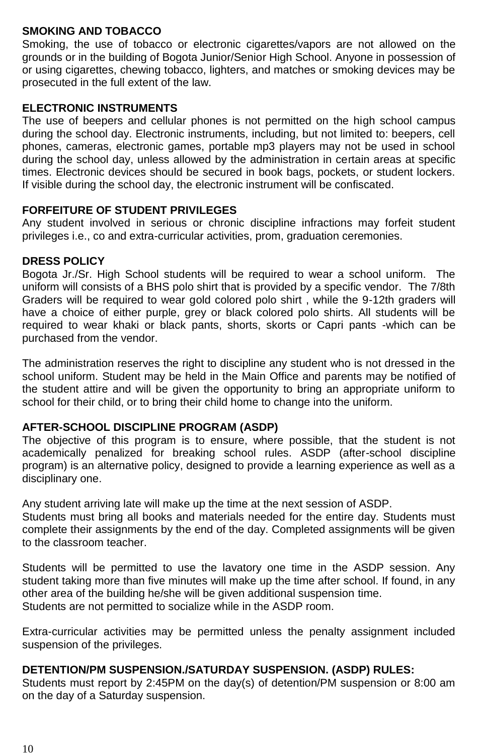### **SMOKING AND TOBACCO**

Smoking, the use of tobacco or electronic cigarettes/vapors are not allowed on the grounds or in the building of Bogota Junior/Senior High School. Anyone in possession of or using cigarettes, chewing tobacco, lighters, and matches or smoking devices may be prosecuted in the full extent of the law.

### **ELECTRONIC INSTRUMENTS**

The use of beepers and cellular phones is not permitted on the high school campus during the school day. Electronic instruments, including, but not limited to: beepers, cell phones, cameras, electronic games, portable mp3 players may not be used in school during the school day, unless allowed by the administration in certain areas at specific times. Electronic devices should be secured in book bags, pockets, or student lockers. If visible during the school day, the electronic instrument will be confiscated.

### **FORFEITURE OF STUDENT PRIVILEGES**

Any student involved in serious or chronic discipline infractions may forfeit student privileges i.e., co and extra-curricular activities, prom, graduation ceremonies.

### **DRESS POLICY**

Bogota Jr./Sr. High School students will be required to wear a school uniform. The uniform will consists of a BHS polo shirt that is provided by a specific vendor. The 7/8th Graders will be required to wear gold colored polo shirt , while the 9-12th graders will have a choice of either purple, grey or black colored polo shirts. All students will be required to wear khaki or black pants, shorts, skorts or Capri pants -which can be purchased from the vendor.

The administration reserves the right to discipline any student who is not dressed in the school uniform. Student may be held in the Main Office and parents may be notified of the student attire and will be given the opportunity to bring an appropriate uniform to school for their child, or to bring their child home to change into the uniform.

### **AFTER-SCHOOL DISCIPLINE PROGRAM (ASDP)**

The objective of this program is to ensure, where possible, that the student is not academically penalized for breaking school rules. ASDP (after-school discipline program) is an alternative policy, designed to provide a learning experience as well as a disciplinary one.

Any student arriving late will make up the time at the next session of ASDP.

Students must bring all books and materials needed for the entire day. Students must complete their assignments by the end of the day. Completed assignments will be given to the classroom teacher.

Students will be permitted to use the lavatory one time in the ASDP session. Any student taking more than five minutes will make up the time after school. If found, in any other area of the building he/she will be given additional suspension time. Students are not permitted to socialize while in the ASDP room.

Extra-curricular activities may be permitted unless the penalty assignment included suspension of the privileges.

### **DETENTION/PM SUSPENSION./SATURDAY SUSPENSION. (ASDP) RULES:**

Students must report by 2:45PM on the day(s) of detention/PM suspension or 8:00 am on the day of a Saturday suspension.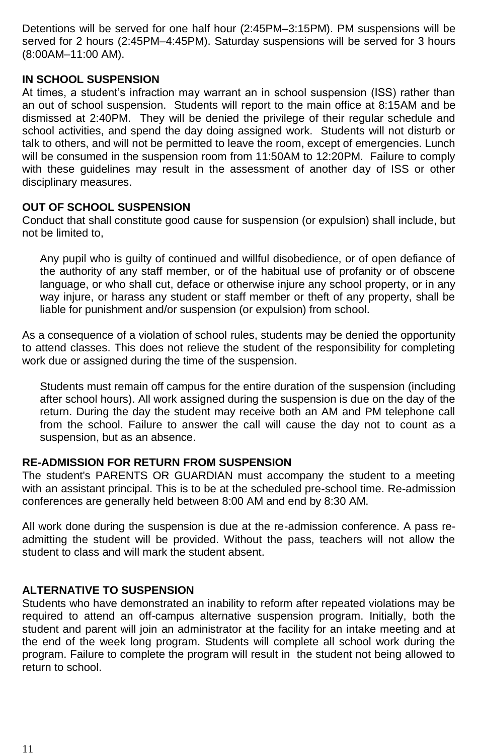Detentions will be served for one half hour (2:45PM–3:15PM). PM suspensions will be served for 2 hours (2:45PM–4:45PM). Saturday suspensions will be served for 3 hours (8:00AM–11:00 AM).

### **IN SCHOOL SUSPENSION**

At times, a student's infraction may warrant an in school suspension (ISS) rather than an out of school suspension. Students will report to the main office at 8:15AM and be dismissed at 2:40PM. They will be denied the privilege of their regular schedule and school activities, and spend the day doing assigned work. Students will not disturb or talk to others, and will not be permitted to leave the room, except of emergencies. Lunch will be consumed in the suspension room from 11:50AM to 12:20PM. Failure to comply with these guidelines may result in the assessment of another day of ISS or other disciplinary measures.

### **OUT OF SCHOOL SUSPENSION**

Conduct that shall constitute good cause for suspension (or expulsion) shall include, but not be limited to,

Any pupil who is guilty of continued and willful disobedience, or of open defiance of the authority of any staff member, or of the habitual use of profanity or of obscene language, or who shall cut, deface or otherwise injure any school property, or in any way injure, or harass any student or staff member or theft of any property, shall be liable for punishment and/or suspension (or expulsion) from school.

As a consequence of a violation of school rules, students may be denied the opportunity to attend classes. This does not relieve the student of the responsibility for completing work due or assigned during the time of the suspension.

Students must remain off campus for the entire duration of the suspension (including after school hours). All work assigned during the suspension is due on the day of the return. During the day the student may receive both an AM and PM telephone call from the school. Failure to answer the call will cause the day not to count as a suspension, but as an absence.

### **RE-ADMISSION FOR RETURN FROM SUSPENSION**

The student's PARENTS OR GUARDIAN must accompany the student to a meeting with an assistant principal. This is to be at the scheduled pre-school time. Re-admission conferences are generally held between 8:00 AM and end by 8:30 AM.

All work done during the suspension is due at the re-admission conference. A pass readmitting the student will be provided. Without the pass, teachers will not allow the student to class and will mark the student absent.

### **ALTERNATIVE TO SUSPENSION**

Students who have demonstrated an inability to reform after repeated violations may be required to attend an off-campus alternative suspension program. Initially, both the student and parent will join an administrator at the facility for an intake meeting and at the end of the week long program. Students will complete all school work during the program. Failure to complete the program will result in the student not being allowed to return to school.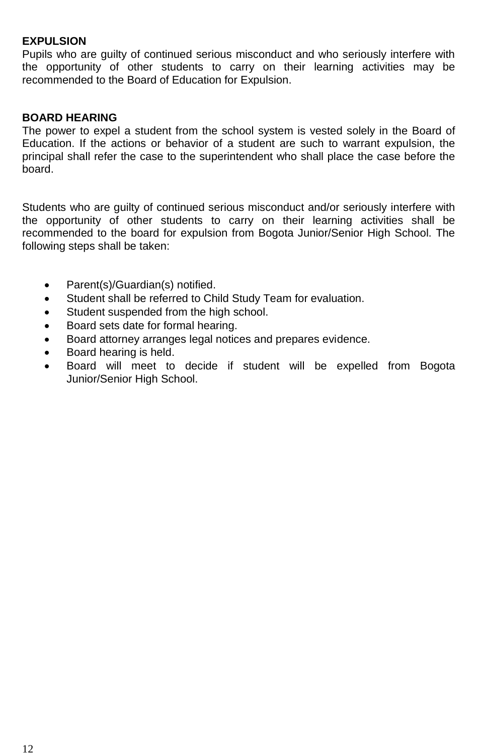### **EXPULSION**

Pupils who are guilty of continued serious misconduct and who seriously interfere with the opportunity of other students to carry on their learning activities may be recommended to the Board of Education for Expulsion.

### **BOARD HEARING**

The power to expel a student from the school system is vested solely in the Board of Education. If the actions or behavior of a student are such to warrant expulsion, the principal shall refer the case to the superintendent who shall place the case before the board.

Students who are guilty of continued serious misconduct and/or seriously interfere with the opportunity of other students to carry on their learning activities shall be recommended to the board for expulsion from Bogota Junior/Senior High School. The following steps shall be taken:

- Parent(s)/Guardian(s) notified.
- Student shall be referred to Child Study Team for evaluation.
- Student suspended from the high school.
- Board sets date for formal hearing.
- Board attorney arranges legal notices and prepares evidence.
- Board hearing is held.
- Board will meet to decide if student will be expelled from Bogota Junior/Senior High School.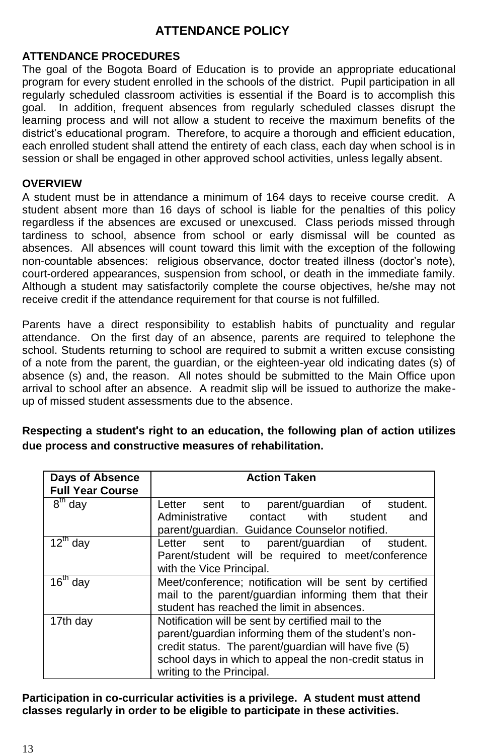### **ATTENDANCE POLICY**

### **ATTENDANCE PROCEDURES**

The goal of the Bogota Board of Education is to provide an appropriate educational program for every student enrolled in the schools of the district. Pupil participation in all regularly scheduled classroom activities is essential if the Board is to accomplish this goal. In addition, frequent absences from regularly scheduled classes disrupt the In addition, frequent absences from regularly scheduled classes disrupt the learning process and will not allow a student to receive the maximum benefits of the district's educational program. Therefore, to acquire a thorough and efficient education, each enrolled student shall attend the entirety of each class, each day when school is in session or shall be engaged in other approved school activities, unless legally absent.

### **OVERVIEW**

A student must be in attendance a minimum of 164 days to receive course credit. A student absent more than 16 days of school is liable for the penalties of this policy regardless if the absences are excused or unexcused. Class periods missed through tardiness to school, absence from school or early dismissal will be counted as absences. All absences will count toward this limit with the exception of the following non-countable absences: religious observance, doctor treated illness (doctor's note), court-ordered appearances, suspension from school, or death in the immediate family. Although a student may satisfactorily complete the course objectives, he/she may not receive credit if the attendance requirement for that course is not fulfilled.

Parents have a direct responsibility to establish habits of punctuality and regular attendance. On the first day of an absence, parents are required to telephone the school. Students returning to school are required to submit a written excuse consisting of a note from the parent, the guardian, or the eighteen-year old indicating dates (s) of absence (s) and, the reason. All notes should be submitted to the Main Office upon arrival to school after an absence. A readmit slip will be issued to authorize the makeup of missed student assessments due to the absence.

**Respecting a student**'**s right to an education, the following plan of action utilizes due process and constructive measures of rehabilitation.**

| Days of Absence<br><b>Full Year Course</b> | <b>Action Taken</b>                                                                                                                                                                                                                                         |  |  |
|--------------------------------------------|-------------------------------------------------------------------------------------------------------------------------------------------------------------------------------------------------------------------------------------------------------------|--|--|
| $8th$ day                                  | parent/quardian of<br>student.<br>Letter<br>sent to<br>Administrative contact<br>with<br>student<br>and                                                                                                                                                     |  |  |
|                                            | parent/guardian. Guidance Counselor notified.                                                                                                                                                                                                               |  |  |
| $12^{\text{th}}$ day                       | Letter sent to parent/guardian of student.<br>Parent/student will be required to meet/conference<br>with the Vice Principal.                                                                                                                                |  |  |
| $16th$ day                                 | Meet/conference; notification will be sent by certified<br>mail to the parent/quardian informing them that their<br>student has reached the limit in absences.                                                                                              |  |  |
| 17th day                                   | Notification will be sent by certified mail to the<br>parent/guardian informing them of the student's non-<br>credit status. The parent/guardian will have five (5)<br>school days in which to appeal the non-credit status in<br>writing to the Principal. |  |  |

### **Participation in co-curricular activities is a privilege. A student must attend classes regularly in order to be eligible to participate in these activities.**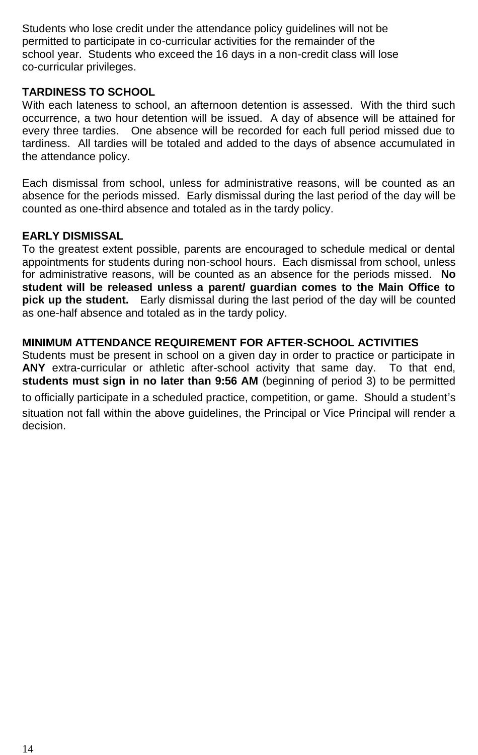Students who lose credit under the attendance policy guidelines will not be permitted to participate in co-curricular activities for the remainder of the school year. Students who exceed the 16 days in a non-credit class will lose co-curricular privileges.

### **TARDINESS TO SCHOOL**

With each lateness to school, an afternoon detention is assessed. With the third such occurrence, a two hour detention will be issued. A day of absence will be attained for every three tardies. One absence will be recorded for each full period missed due to tardiness. All tardies will be totaled and added to the days of absence accumulated in the attendance policy.

Each dismissal from school, unless for administrative reasons, will be counted as an absence for the periods missed. Early dismissal during the last period of the day will be counted as one-third absence and totaled as in the tardy policy.

### **EARLY DISMISSAL**

To the greatest extent possible, parents are encouraged to schedule medical or dental appointments for students during non-school hours. Each dismissal from school, unless for administrative reasons, will be counted as an absence for the periods missed. **No student will be released unless a parent/ guardian comes to the Main Office to pick up the student.** Early dismissal during the last period of the day will be counted as one-half absence and totaled as in the tardy policy.

### **MINIMUM ATTENDANCE REQUIREMENT FOR AFTER-SCHOOL ACTIVITIES**

Students must be present in school on a given day in order to practice or participate in **ANY** extra-curricular or athletic after-school activity that same day. To that end, **students must sign in no later than 9:56 AM** (beginning of period 3) to be permitted to officially participate in a scheduled practice, competition, or game. Should a student's situation not fall within the above guidelines, the Principal or Vice Principal will render a decision.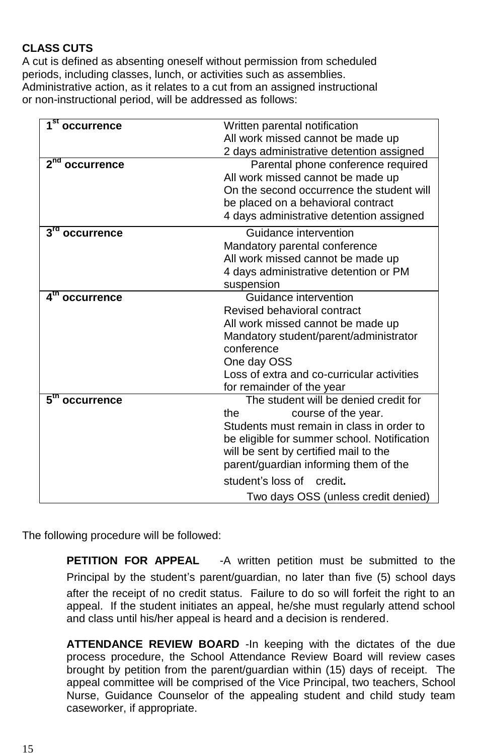### **CLASS CUTS**

A cut is defined as absenting oneself without permission from scheduled periods, including classes, lunch, or activities such as assemblies. Administrative action, as it relates to a cut from an assigned instructional or non-instructional period, will be addressed as follows:

| 1 <sup>st</sup><br>occurrence          | Written parental notification                                                  |  |  |
|----------------------------------------|--------------------------------------------------------------------------------|--|--|
|                                        | All work missed cannot be made up                                              |  |  |
|                                        | 2 days administrative detention assigned                                       |  |  |
| 2 <sup>nd</sup><br>occurrence          | Parental phone conference required                                             |  |  |
|                                        | All work missed cannot be made up                                              |  |  |
|                                        | On the second occurrence the student will                                      |  |  |
|                                        | be placed on a behavioral contract                                             |  |  |
|                                        | 4 days administrative detention assigned                                       |  |  |
| $3^{\text{rd}}$<br>occurrence          | Guidance intervention                                                          |  |  |
|                                        | Mandatory parental conference                                                  |  |  |
|                                        | All work missed cannot be made up                                              |  |  |
|                                        | 4 days administrative detention or PM                                          |  |  |
|                                        | suspension                                                                     |  |  |
| $\mathbf{A}^{\text{th}}$<br>occurrence | Guidance intervention                                                          |  |  |
|                                        | Revised behavioral contract                                                    |  |  |
|                                        | All work missed cannot be made up                                              |  |  |
|                                        | Mandatory student/parent/administrator                                         |  |  |
|                                        | conference                                                                     |  |  |
|                                        | One day OSS                                                                    |  |  |
|                                        | Loss of extra and co-curricular activities                                     |  |  |
| 5 <sup>th</sup>                        | for remainder of the year<br>The student will be denied credit for             |  |  |
| occurrence                             |                                                                                |  |  |
|                                        | the<br>course of the year.                                                     |  |  |
|                                        | Students must remain in class in order to                                      |  |  |
|                                        | be eligible for summer school. Notification                                    |  |  |
|                                        | will be sent by certified mail to the<br>parent/guardian informing them of the |  |  |
|                                        |                                                                                |  |  |
|                                        | student's loss of credit.                                                      |  |  |
|                                        | Two days OSS (unless credit denied)                                            |  |  |

The following procedure will be followed:

**PETITION FOR APPEAL** -A written petition must be submitted to the Principal by the student's parent/guardian, no later than five (5) school days after the receipt of no credit status. Failure to do so will forfeit the right to an appeal. If the student initiates an appeal, he/she must regularly attend school and class until his/her appeal is heard and a decision is rendered.

**ATTENDANCE REVIEW BOARD** -In keeping with the dictates of the due process procedure, the School Attendance Review Board will review cases brought by petition from the parent/guardian within (15) days of receipt. The appeal committee will be comprised of the Vice Principal, two teachers, School Nurse, Guidance Counselor of the appealing student and child study team caseworker, if appropriate.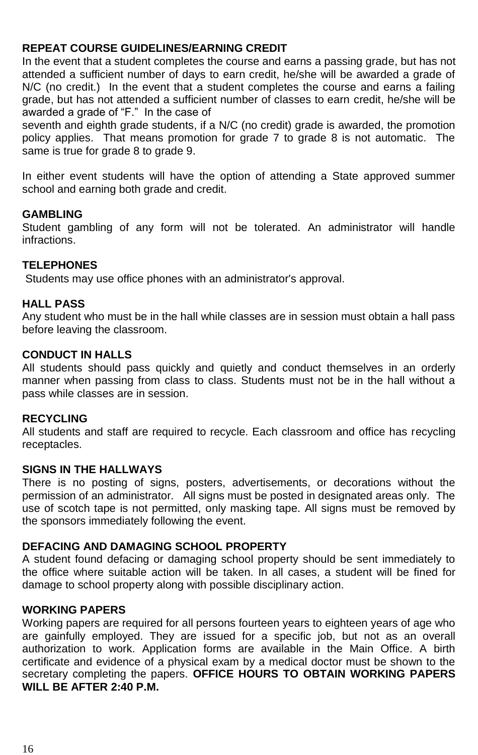### **REPEAT COURSE GUIDELINES/EARNING CREDIT**

In the event that a student completes the course and earns a passing grade, but has not attended a sufficient number of days to earn credit, he/she will be awarded a grade of N/C (no credit.) In the event that a student completes the course and earns a failing grade, but has not attended a sufficient number of classes to earn credit, he/she will be awarded a grade of "F." In the case of

seventh and eighth grade students, if a N/C (no credit) grade is awarded, the promotion policy applies. That means promotion for grade 7 to grade 8 is not automatic. The same is true for grade 8 to grade 9.

In either event students will have the option of attending a State approved summer school and earning both grade and credit.

### **GAMBLING**

Student gambling of any form will not be tolerated. An administrator will handle infractions.

### **TELEPHONES**

Students may use office phones with an administrator's approval.

#### **HALL PASS**

Any student who must be in the hall while classes are in session must obtain a hall pass before leaving the classroom.

#### **CONDUCT IN HALLS**

All students should pass quickly and quietly and conduct themselves in an orderly manner when passing from class to class. Students must not be in the hall without a pass while classes are in session.

#### **RECYCLING**

All students and staff are required to recycle. Each classroom and office has recycling receptacles.

#### **SIGNS IN THE HALLWAYS**

There is no posting of signs, posters, advertisements, or decorations without the permission of an administrator. All signs must be posted in designated areas only. The use of scotch tape is not permitted, only masking tape. All signs must be removed by the sponsors immediately following the event.

### **DEFACING AND DAMAGING SCHOOL PROPERTY**

A student found defacing or damaging school property should be sent immediately to the office where suitable action will be taken. In all cases, a student will be fined for damage to school property along with possible disciplinary action.

#### **WORKING PAPERS**

Working papers are required for all persons fourteen years to eighteen years of age who are gainfully employed. They are issued for a specific job, but not as an overall authorization to work. Application forms are available in the Main Office. A birth certificate and evidence of a physical exam by a medical doctor must be shown to the secretary completing the papers. **OFFICE HOURS TO OBTAIN WORKING PAPERS WILL BE AFTER 2:40 P.M.**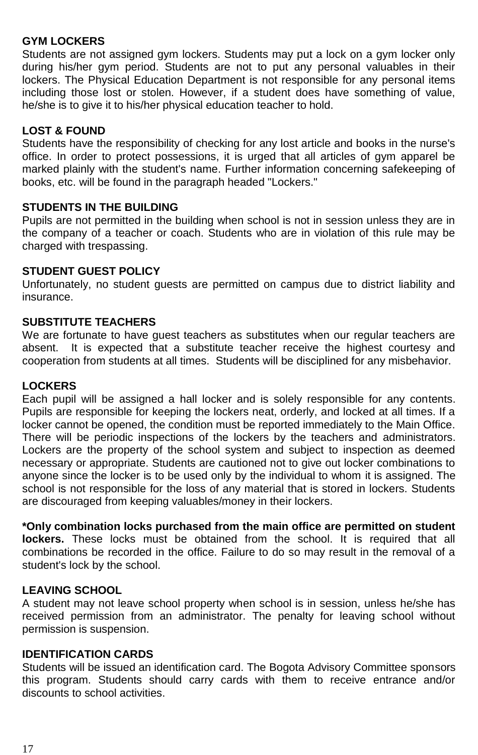### **GYM LOCKERS**

Students are not assigned gym lockers. Students may put a lock on a gym locker only during his/her gym period. Students are not to put any personal valuables in their lockers. The Physical Education Department is not responsible for any personal items including those lost or stolen. However, if a student does have something of value, he/she is to give it to his/her physical education teacher to hold.

### **LOST & FOUND**

Students have the responsibility of checking for any lost article and books in the nurse's office. In order to protect possessions, it is urged that all articles of gym apparel be marked plainly with the student's name. Further information concerning safekeeping of books, etc. will be found in the paragraph headed "Lockers."

### **STUDENTS IN THE BUILDING**

Pupils are not permitted in the building when school is not in session unless they are in the company of a teacher or coach. Students who are in violation of this rule may be charged with trespassing.

### **STUDENT GUEST POLICY**

Unfortunately, no student guests are permitted on campus due to district liability and insurance.

### **SUBSTITUTE TEACHERS**

We are fortunate to have guest teachers as substitutes when our regular teachers are absent. It is expected that a substitute teacher receive the highest courtesy and cooperation from students at all times. Students will be disciplined for any misbehavior.

### **LOCKERS**

Each pupil will be assigned a hall locker and is solely responsible for any contents. Pupils are responsible for keeping the lockers neat, orderly, and locked at all times. If a locker cannot be opened, the condition must be reported immediately to the Main Office. There will be periodic inspections of the lockers by the teachers and administrators. Lockers are the property of the school system and subject to inspection as deemed necessary or appropriate. Students are cautioned not to give out locker combinations to anyone since the locker is to be used only by the individual to whom it is assigned. The school is not responsible for the loss of any material that is stored in lockers. Students are discouraged from keeping valuables/money in their lockers.

### **\*Only combination locks purchased from the main office are permitted on student**

**lockers.** These locks must be obtained from the school. It is required that all combinations be recorded in the office. Failure to do so may result in the removal of a student's lock by the school.

### **LEAVING SCHOOL**

A student may not leave school property when school is in session, unless he/she has received permission from an administrator. The penalty for leaving school without permission is suspension.

### **IDENTIFICATION CARDS**

Students will be issued an identification card. The Bogota Advisory Committee sponsors this program. Students should carry cards with them to receive entrance and/or discounts to school activities.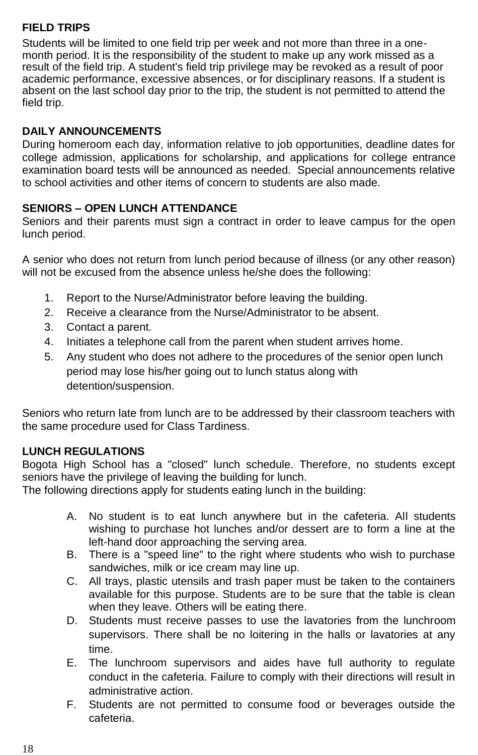### **FIELD TRIPS**

Students will be limited to one field trip per week and not more than three in a onemonth period. It is the responsibility of the student to make up any work missed as a result of the field trip. A student's field trip privilege may be revoked as a result of poor academic performance, excessive absences, or for disciplinary reasons. If a student is absent on the last school day prior to the trip, the student is not permitted to attend the field trip.

### **DAILY ANNOUNCEMENTS**

During homeroom each day, information relative to job opportunities, deadline dates for college admission, applications for scholarship, and applications for college entrance examination board tests will be announced as needed. Special announcements relative to school activities and other items of concern to students are also made.

### **SENIORS – OPEN LUNCH ATTENDANCE**

Seniors and their parents must sign a contract in order to leave campus for the open lunch period.

A senior who does not return from lunch period because of illness (or any other reason) will not be excused from the absence unless he/she does the following:

- 1. Report to the Nurse/Administrator before leaving the building.
- 2. Receive a clearance from the Nurse/Administrator to be absent.
- 3. Contact a parent.
- 4. Initiates a telephone call from the parent when student arrives home.
- 5. Any student who does not adhere to the procedures of the senior open lunch period may lose his/her going out to lunch status along with detention/suspension.

Seniors who return late from lunch are to be addressed by their classroom teachers with the same procedure used for Class Tardiness.

### **LUNCH REGULATIONS**

Bogota High School has a "closed" lunch schedule. Therefore, no students except seniors have the privilege of leaving the building for lunch.

The following directions apply for students eating lunch in the building:

- A. No student is to eat lunch anywhere but in the cafeteria. All students wishing to purchase hot lunches and/or dessert are to form a line at the left-hand door approaching the serving area.
- B. There is a "speed line" to the right where students who wish to purchase sandwiches, milk or ice cream may line up.
- C. All trays, plastic utensils and trash paper must be taken to the containers available for this purpose. Students are to be sure that the table is clean when they leave. Others will be eating there.
- D. Students must receive passes to use the lavatories from the lunchroom supervisors. There shall be no loitering in the halls or lavatories at any time.
- E. The lunchroom supervisors and aides have full authority to regulate conduct in the cafeteria. Failure to comply with their directions will result in administrative action.
- F. Students are not permitted to consume food or beverages outside the cafeteria.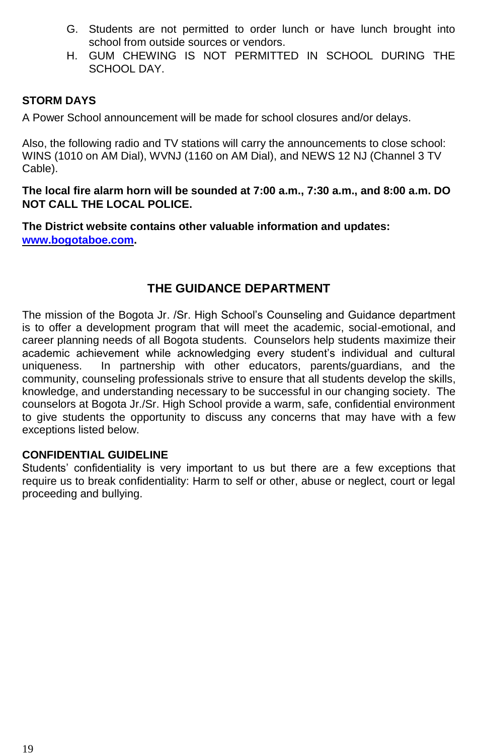- G. Students are not permitted to order lunch or have lunch brought into school from outside sources or vendors.
- H. GUM CHEWING IS NOT PERMITTED IN SCHOOL DURING THE SCHOOL DAY.

### **STORM DAYS**

A Power School announcement will be made for school closures and/or delays.

Also, the following radio and TV stations will carry the announcements to close school: WINS (1010 on AM Dial), WVNJ (1160 on AM Dial), and NEWS 12 NJ (Channel 3 TV Cable).

**The local fire alarm horn will be sounded at 7:00 a.m., 7:30 a.m., and 8:00 a.m. DO NOT CALL THE LOCAL POLICE.** 

**The District website contains other valuable information and updates: [www.bogotaboe.com.](http://www.bogotaboe.com/)**

### **THE GUIDANCE DEPARTMENT**

The mission of the Bogota Jr. /Sr. High School's Counseling and Guidance department is to offer a development program that will meet the academic, social-emotional, and career planning needs of all Bogota students. Counselors help students maximize their academic achievement while acknowledging every student's individual and cultural uniqueness. In partnership with other educators, parents/guardians, and the community, counseling professionals strive to ensure that all students develop the skills, knowledge, and understanding necessary to be successful in our changing society. The counselors at Bogota Jr./Sr. High School provide a warm, safe, confidential environment to give students the opportunity to discuss any concerns that may have with a few exceptions listed below.

#### **CONFIDENTIAL GUIDELINE**

Students' confidentiality is very important to us but there are a few exceptions that require us to break confidentiality: Harm to self or other, abuse or neglect, court or legal proceeding and bullying.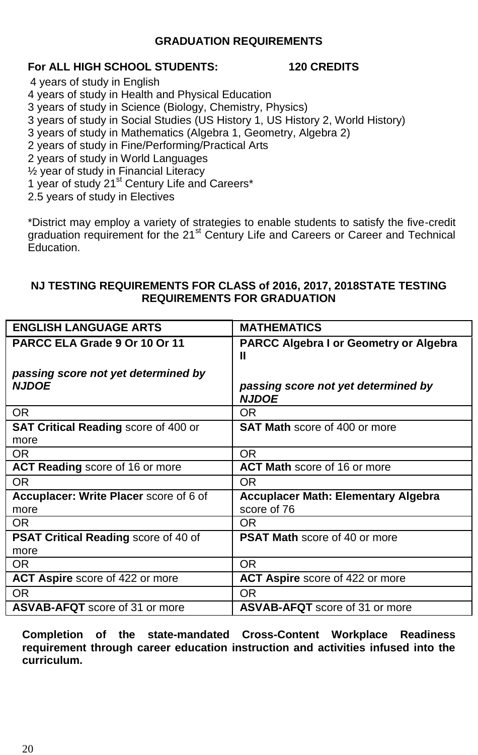### **GRADUATION REQUIREMENTS**

### **For ALL HIGH SCHOOL STUDENTS: 120 CREDITS**

4 years of study in English

- 4 years of study in Health and Physical Education
- 3 years of study in Science (Biology, Chemistry, Physics)
- 3 years of study in Social Studies (US History 1, US History 2, World History)
- 3 years of study in Mathematics (Algebra 1, Geometry, Algebra 2)
- 2 years of study in Fine/Performing/Practical Arts
- 2 years of study in World Languages
- ½ year of study in Financial Literacy
- 1 year of study 21<sup>st</sup> Century Life and Careers\*
- 2.5 years of study in Electives

\*District may employ a variety of strategies to enable students to satisfy the five-credit graduation requirement for the 21<sup>st</sup> Century Life and Careers or Career and Technical Education.

### **NJ TESTING REQUIREMENTS FOR CLASS of 2016, 2017, 2018STATE TESTING REQUIREMENTS FOR GRADUATION**

| <b>ENGLISH LANGUAGE ARTS</b>                        | <b>MATHEMATICS</b>                                        |  |  |
|-----------------------------------------------------|-----------------------------------------------------------|--|--|
| PARCC ELA Grade 9 Or 10 Or 11                       | <b>PARCC Algebra I or Geometry or Algebra</b><br>Ш        |  |  |
| passing score not yet determined by<br><b>NJDOE</b> | passing score not yet determined by<br><b>NJDOE</b>       |  |  |
| OR.                                                 | OR.                                                       |  |  |
| <b>SAT Critical Reading score of 400 or</b><br>more | <b>SAT Math</b> score of 400 or more                      |  |  |
| OR.                                                 | OR.                                                       |  |  |
| <b>ACT Reading score of 16 or more</b>              | <b>ACT Math score of 16 or more</b>                       |  |  |
| OR.                                                 | OR.                                                       |  |  |
| Accuplacer: Write Placer score of 6 of<br>more      | <b>Accuplacer Math: Elementary Algebra</b><br>score of 76 |  |  |
| OR.                                                 | OR.                                                       |  |  |
| <b>PSAT Critical Reading score of 40 of</b><br>more | <b>PSAT Math score of 40 or more</b>                      |  |  |
| OR.                                                 | OR.                                                       |  |  |
| ACT Aspire score of 422 or more                     | ACT Aspire score of 422 or more                           |  |  |
| OR.                                                 | OR.                                                       |  |  |
| <b>ASVAB-AFQT</b> score of 31 or more               | <b>ASVAB-AFQT</b> score of 31 or more                     |  |  |

**Completion of the state-mandated Cross-Content Workplace Readiness requirement through career education instruction and activities infused into the curriculum.**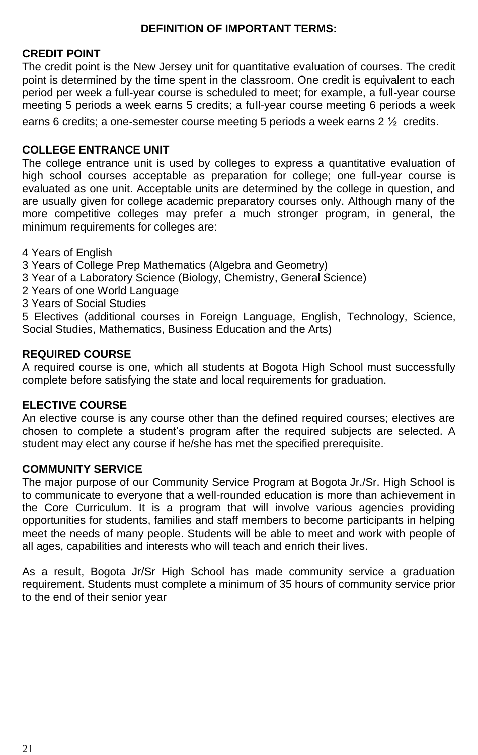### **DEFINITION OF IMPORTANT TERMS:**

### **CREDIT POINT**

The credit point is the New Jersey unit for quantitative evaluation of courses. The credit point is determined by the time spent in the classroom. One credit is equivalent to each period per week a full-year course is scheduled to meet; for example, a full-year course meeting 5 periods a week earns 5 credits; a full-year course meeting 6 periods a week

earns 6 credits; a one-semester course meeting 5 periods a week earns  $2 \frac{1}{2}$  credits.

### **COLLEGE ENTRANCE UNIT**

The college entrance unit is used by colleges to express a quantitative evaluation of high school courses acceptable as preparation for college; one full-year course is evaluated as one unit. Acceptable units are determined by the college in question, and are usually given for college academic preparatory courses only. Although many of the more competitive colleges may prefer a much stronger program, in general, the minimum requirements for colleges are:

- 4 Years of English
- 3 Years of College Prep Mathematics (Algebra and Geometry)
- 3 Year of a Laboratory Science (Biology, Chemistry, General Science)
- 2 Years of one World Language
- 3 Years of Social Studies

5 Electives (additional courses in Foreign Language, English, Technology, Science, Social Studies, Mathematics, Business Education and the Arts)

### **REQUIRED COURSE**

A required course is one, which all students at Bogota High School must successfully complete before satisfying the state and local requirements for graduation.

### **ELECTIVE COURSE**

An elective course is any course other than the defined required courses; electives are chosen to complete a student's program after the required subjects are selected. A student may elect any course if he/she has met the specified prerequisite.

#### **COMMUNITY SERVICE**

The major purpose of our Community Service Program at Bogota Jr./Sr. High School is to communicate to everyone that a well-rounded education is more than achievement in the Core Curriculum. It is a program that will involve various agencies providing opportunities for students, families and staff members to become participants in helping meet the needs of many people. Students will be able to meet and work with people of all ages, capabilities and interests who will teach and enrich their lives.

As a result, Bogota Jr/Sr High School has made community service a graduation requirement. Students must complete a minimum of 35 hours of community service prior to the end of their senior year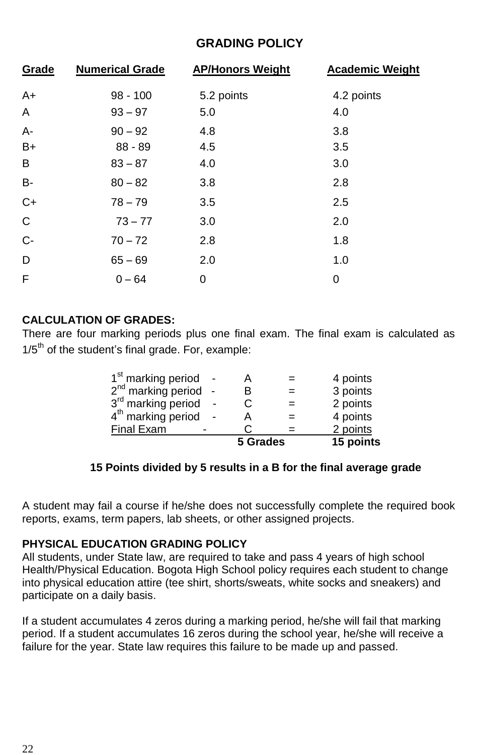### **GRADING POLICY**

| Grade     | <b>Numerical Grade</b> | <b>AP/Honors Weight</b> | <b>Academic Weight</b> |
|-----------|------------------------|-------------------------|------------------------|
| $A+$      | $98 - 100$             | 5.2 points              | 4.2 points             |
| A         | $93 - 97$              | 5.0                     | 4.0                    |
| A-        | $90 - 92$              | 4.8                     | 3.8                    |
| B+        | $88 - 89$              | 4.5                     | 3.5                    |
| B         | $83 - 87$              | 4.0                     | 3.0                    |
| <b>B-</b> | $80 - 82$              | 3.8                     | 2.8                    |
| $C+$      | $78 - 79$              | 3.5                     | 2.5                    |
| C         | $73 - 77$              | 3.0                     | 2.0                    |
| $C-$      | $70 - 72$              | 2.8                     | 1.8                    |
| D         | $65 - 69$              | 2.0                     | 1.0                    |
| F         | $0 - 64$               | 0                       | 0                      |

### **CALCULATION OF GRADES:**

There are four marking periods plus one final exam. The final exam is calculated as  $1/5<sup>th</sup>$  of the student's final grade. For, example:

|                                | 5 Grades |     | 15 points |
|--------------------------------|----------|-----|-----------|
| <b>Final Exam</b>              |          |     | 2 points  |
| 4 <sup>th</sup> marking period |          | $=$ | 4 points  |
| 3rd marking period             |          | $=$ | 2 points  |
| $2nd$ marking period           | B        | $=$ | 3 points  |
| 1 <sup>st</sup> marking period |          | $=$ | 4 points  |

### **15 Points divided by 5 results in a B for the final average grade**

A student may fail a course if he/she does not successfully complete the required book reports, exams, term papers, lab sheets, or other assigned projects.

### **PHYSICAL EDUCATION GRADING POLICY**

All students, under State law, are required to take and pass 4 years of high school Health/Physical Education. Bogota High School policy requires each student to change into physical education attire (tee shirt, shorts/sweats, white socks and sneakers) and participate on a daily basis.

If a student accumulates 4 zeros during a marking period, he/she will fail that marking period. If a student accumulates 16 zeros during the school year, he/she will receive a failure for the year. State law requires this failure to be made up and passed.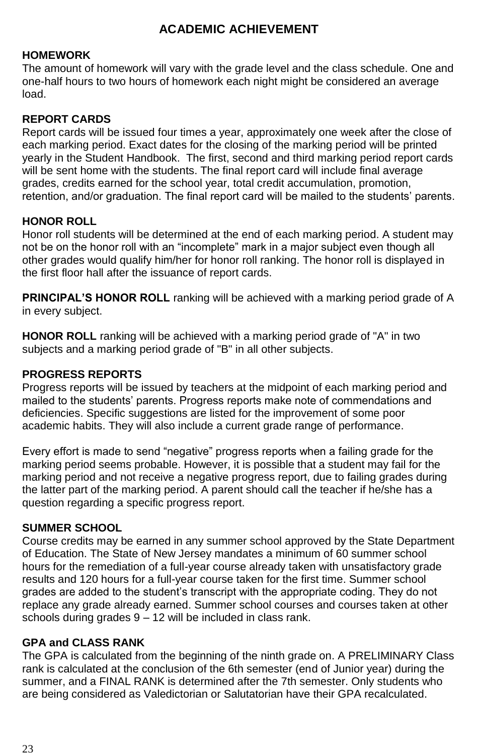### **ACADEMIC ACHIEVEMENT**

### **HOMEWORK**

The amount of homework will vary with the grade level and the class schedule. One and one-half hours to two hours of homework each night might be considered an average load.

### **REPORT CARDS**

Report cards will be issued four times a year, approximately one week after the close of each marking period. Exact dates for the closing of the marking period will be printed yearly in the Student Handbook. The first, second and third marking period report cards will be sent home with the students. The final report card will include final average grades, credits earned for the school year, total credit accumulation, promotion, retention, and/or graduation. The final report card will be mailed to the students' parents.

### **HONOR ROLL**

Honor roll students will be determined at the end of each marking period. A student may not be on the honor roll with an "incomplete" mark in a major subject even though all other grades would qualify him/her for honor roll ranking. The honor roll is displayed in the first floor hall after the issuance of report cards.

**PRINCIPAL'S HONOR ROLL** ranking will be achieved with a marking period grade of A in every subject.

**HONOR ROLL** ranking will be achieved with a marking period grade of "A" in two subjects and a marking period grade of "B" in all other subjects.

### **PROGRESS REPORTS**

Progress reports will be issued by teachers at the midpoint of each marking period and mailed to the students' parents. Progress reports make note of commendations and deficiencies. Specific suggestions are listed for the improvement of some poor academic habits. They will also include a current grade range of performance.

Every effort is made to send "negative" progress reports when a failing grade for the marking period seems probable. However, it is possible that a student may fail for the marking period and not receive a negative progress report, due to failing grades during the latter part of the marking period. A parent should call the teacher if he/she has a question regarding a specific progress report.

#### **SUMMER SCHOOL**

Course credits may be earned in any summer school approved by the State Department of Education. The State of New Jersey mandates a minimum of 60 summer school hours for the remediation of a full-year course already taken with unsatisfactory grade results and 120 hours for a full-year course taken for the first time. Summer school grades are added to the student's transcript with the appropriate coding. They do not replace any grade already earned. Summer school courses and courses taken at other schools during grades 9 – 12 will be included in class rank.

### **GPA and CLASS RANK**

The GPA is calculated from the beginning of the ninth grade on. A PRELIMINARY Class rank is calculated at the conclusion of the 6th semester (end of Junior year) during the summer, and a FINAL RANK is determined after the 7th semester. Only students who are being considered as Valedictorian or Salutatorian have their GPA recalculated.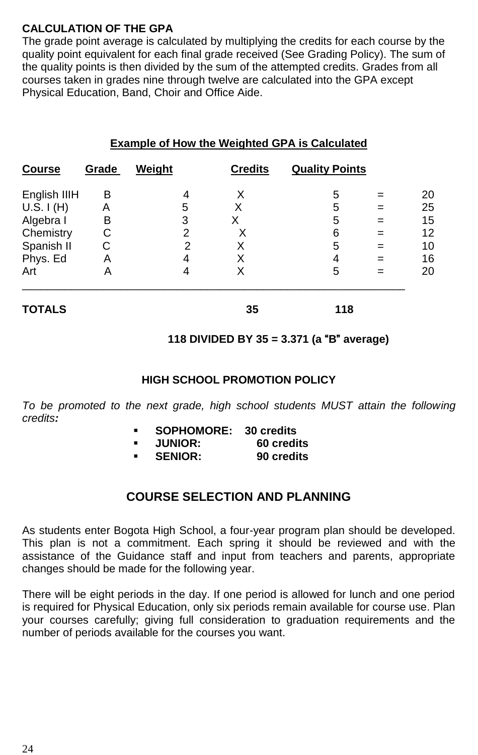### **CALCULATION OF THE GPA**

The grade point average is calculated by multiplying the credits for each course by the quality point equivalent for each final grade received (See Grading Policy). The sum of the quality points is then divided by the sum of the attempted credits. Grades from all courses taken in grades nine through twelve are calculated into the GPA except Physical Education, Band, Choir and Office Aide.

|               |       |        |                | <b>Example of How the Weighted GPA is Calculated</b> |     |    |
|---------------|-------|--------|----------------|------------------------------------------------------|-----|----|
| <b>Course</b> | Grade | Weight | <b>Credits</b> | <b>Quality Points</b>                                |     |    |
| English IIIH  | в     | 4      | X              | 5                                                    |     | 20 |
| U.S. I (H)    | Α     | 5      | x              | 5                                                    | $=$ | 25 |
| Algebra I     | в     | 3      | x              | 5                                                    |     | 15 |
| Chemistry     | С     | 2      | х              | 6                                                    | =   | 12 |
| Spanish II    | С     | 2      | X              | 5                                                    | =   | 10 |
| Phys. Ed      | А     | 4      | Χ              | 4                                                    | $=$ | 16 |
| Art           | А     | 4      | X              | 5                                                    | =   | 20 |
| <b>TOTALS</b> |       |        | 35             | 118                                                  |     |    |

## **Example of How the Weighted GPA is Calculated**

### **118 DIVIDED BY 35 = 3.371 (a** "**B**" **average)**

### **HIGH SCHOOL PROMOTION POLICY**

To be promoted to the next grade, high school students MUST attain the following *credits:* 

- **SOPHOMORE: 30 credits**
- **JUNIOR: 60 credits**
- SENIOR:

### **COURSE SELECTION AND PLANNING**

As students enter Bogota High School, a four-year program plan should be developed. This plan is not a commitment. Each spring it should be reviewed and with the assistance of the Guidance staff and input from teachers and parents, appropriate changes should be made for the following year.

There will be eight periods in the day. If one period is allowed for lunch and one period is required for Physical Education, only six periods remain available for course use. Plan your courses carefully; giving full consideration to graduation requirements and the number of periods available for the courses you want.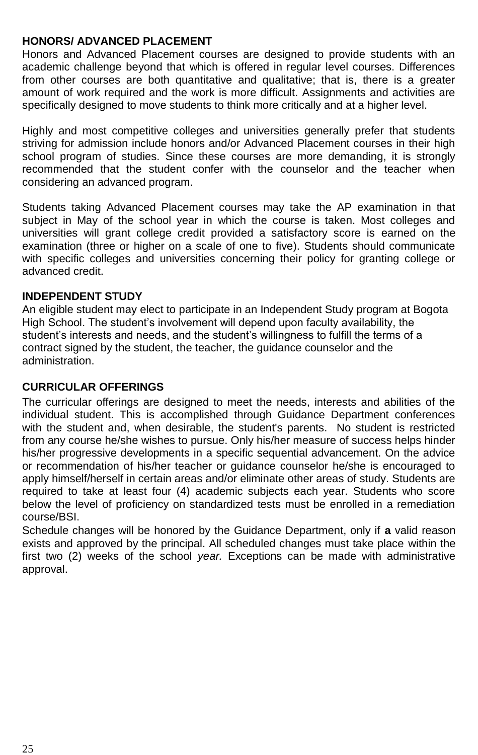### **HONORS/ ADVANCED PLACEMENT**

Honors and Advanced Placement courses are designed to provide students with an academic challenge beyond that which is offered in regular level courses. Differences from other courses are both quantitative and qualitative; that is, there is a greater amount of work required and the work is more difficult. Assignments and activities are specifically designed to move students to think more critically and at a higher level.

Highly and most competitive colleges and universities generally prefer that students striving for admission include honors and/or Advanced Placement courses in their high school program of studies. Since these courses are more demanding, it is strongly recommended that the student confer with the counselor and the teacher when considering an advanced program.

Students taking Advanced Placement courses may take the AP examination in that subject in May of the school year in which the course is taken. Most colleges and universities will grant college credit provided a satisfactory score is earned on the examination (three or higher on a scale of one to five). Students should communicate with specific colleges and universities concerning their policy for granting college or advanced credit.

### **INDEPENDENT STUDY**

An eligible student may elect to participate in an Independent Study program at Bogota High School. The student's involvement will depend upon faculty availability, the student's interests and needs, and the student's willingness to fulfill the terms of a contract signed by the student, the teacher, the guidance counselor and the administration.

### **CURRICULAR OFFFRINGS**

The curricular offerings are designed to meet the needs, interests and abilities of the individual student. This is accomplished through Guidance Department conferences with the student and, when desirable, the student's parents. No student is restricted from any course he/she wishes to pursue. Only his/her measure of success helps hinder his/her progressive developments in a specific sequential advancement. On the advice or recommendation of his/her teacher or guidance counselor he/she is encouraged to apply himself/herself in certain areas and/or eliminate other areas of study. Students are required to take at least four (4) academic subjects each year. Students who score below the level of proficiency on standardized tests must be enrolled in a remediation course/BSI.

Schedule changes will be honored by the Guidance Department, only if **a** valid reason exists and approved by the principal. All scheduled changes must take place within the first two (2) weeks of the school *year.* Exceptions can be made with administrative approval.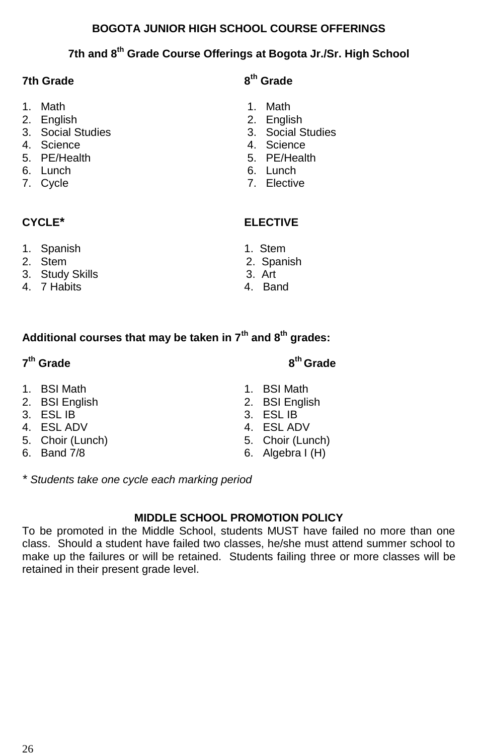### **BOGOTA JUNIOR HIGH SCHOOL COURSE OFFERINGS**

### **7th and 8th Grade Course Offerings at Bogota Jr./Sr. High School**

### **7th Grade**

- 1. Math 1. Math
- 
- 2. English 2. English
- 4. Science
- 
- 6. Lunch
- 

- 1. Spanish 1. Stem<br>1. Stem 2. Stem 2. Span
- 
- 3. Study Skills 3. Art
- 4. 7 Habits

## **th Grade**

- 
- 
- 3. Social Studies<br>4. Science
- 
- 5. PE/Health 5. PE/Health
	-
- 7. Cycle 7. Elective

### **CYCLE\* ELECTIVE**

- 
- 2. Spanish
- 
- 

### **Additional courses that may be taken in 7th and 8th grades:**

### **7 th Grade 8**

- 1. BSI Math 1. BSI Math
- 2. BSI English 2. BSI English
- 3. ESL IB 3. ESL IB
- 
- 5. Choir (Lunch)<br>6. Band 7/8
- 

4. ESL ADV<br>5. Choir (Lunch) 6. Choir (Lunch)

**th Grade**

6. Algebra  $I(H)$ 

*\* Students take one cycle each marking period*

### **MIDDLE SCHOOL PROMOTION POLICY**

To be promoted in the Middle School, students MUST have failed no more than one class. Should a student have failed two classes, he/she must attend summer school to make up the failures or will be retained. Students failing three or more classes will be retained in their present grade level.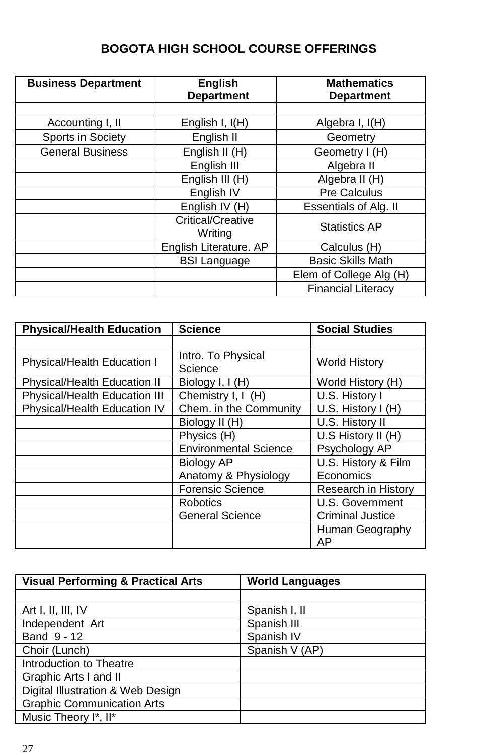## **BOGOTA HIGH SCHOOL COURSE OFFERINGS**

| <b>Business Department</b> | <b>English</b><br><b>Department</b> | <b>Mathematics</b><br><b>Department</b> |
|----------------------------|-------------------------------------|-----------------------------------------|
|                            |                                     |                                         |
| Accounting I, II           | English I, I(H)                     | Algebra I, I(H)                         |
| Sports in Society          | English II                          | Geometry                                |
| <b>General Business</b>    | English II (H)                      | Geometry I (H)                          |
|                            | English III                         | Algebra II                              |
|                            | English III (H)                     | Algebra II (H)                          |
|                            | English IV                          | Pre Calculus                            |
|                            | English IV (H)                      | Essentials of Alg. II                   |
|                            | Critical/Creative<br>Writing        | <b>Statistics AP</b>                    |
|                            | English Literature. AP              | Calculus (H)                            |
|                            | <b>BSI Language</b>                 | <b>Basic Skills Math</b>                |
|                            |                                     | Elem of College Alg (H)                 |
|                            |                                     | <b>Financial Literacy</b>               |

| <b>Physical/Health Education</b> | <b>Science</b>               | <b>Social Studies</b>   |  |
|----------------------------------|------------------------------|-------------------------|--|
|                                  |                              |                         |  |
| Physical/Health Education I      | Intro. To Physical           | <b>World History</b>    |  |
|                                  | Science                      |                         |  |
| Physical/Health Education II     | Biology I, I (H)             | World History (H)       |  |
| Physical/Health Education III    | Chemistry I, I (H)           | U.S. History I          |  |
| Physical/Health Education IV     | Chem. in the Community       | U.S. History I (H)      |  |
|                                  | Biology II (H)               | U.S. History II         |  |
|                                  | Physics (H)                  | U.S History II (H)      |  |
|                                  | <b>Environmental Science</b> | Psychology AP           |  |
|                                  | Biology AP                   | U.S. History & Film     |  |
|                                  | Anatomy & Physiology         | Economics               |  |
|                                  | <b>Forensic Science</b>      | Research in History     |  |
|                                  | <b>Robotics</b>              | U.S. Government         |  |
|                                  | <b>General Science</b>       | <b>Criminal Justice</b> |  |
|                                  |                              | Human Geography         |  |
|                                  |                              | ΑP                      |  |

| <b>Visual Performing &amp; Practical Arts</b> | <b>World Languages</b> |
|-----------------------------------------------|------------------------|
|                                               |                        |
| Art I, II, III, IV                            | Spanish I, II          |
| Independent Art                               | Spanish III            |
| Band 9 - 12                                   | Spanish IV             |
| Choir (Lunch)                                 | Spanish V (AP)         |
| Introduction to Theatre                       |                        |
| Graphic Arts I and II                         |                        |
| Digital Illustration & Web Design             |                        |
| <b>Graphic Communication Arts</b>             |                        |
| Music Theory I*, II*                          |                        |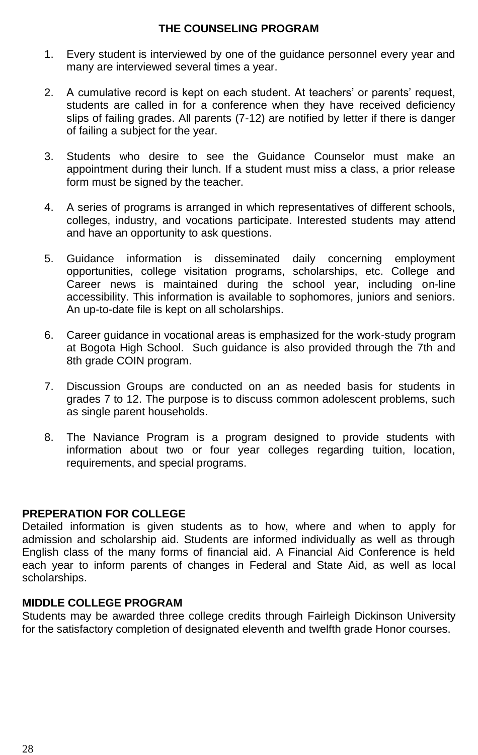### **THE COUNSELING PROGRAM**

- 1. Every student is interviewed by one of the guidance personnel every year and many are interviewed several times a year.
- 2. A cumulative record is kept on each student. At teachers' or parents' request, students are called in for a conference when they have received deficiency slips of failing grades. All parents (7-12) are notified by letter if there is danger of failing a subject for the year.
- 3. Students who desire to see the Guidance Counselor must make an appointment during their lunch. If a student must miss a class, a prior release form must be signed by the teacher.
- 4. A series of programs is arranged in which representatives of different schools, colleges, industry, and vocations participate. Interested students may attend and have an opportunity to ask questions.
- 5. Guidance information is disseminated daily concerning employment opportunities, college visitation programs, scholarships, etc. College and Career news is maintained during the school year, including on-line accessibility. This information is available to sophomores, juniors and seniors. An up-to-date file is kept on all scholarships.
- 6. Career guidance in vocational areas is emphasized for the work-study program at Bogota High School. Such guidance is also provided through the 7th and 8th grade COIN program.
- 7. Discussion Groups are conducted on an as needed basis for students in grades 7 to 12. The purpose is to discuss common adolescent problems, such as single parent households.
- 8. The Naviance Program is a program designed to provide students with information about two or four year colleges regarding tuition, location, requirements, and special programs.

### **PREPERATION FOR COLLEGE**

Detailed information is given students as to how, where and when to apply for admission and scholarship aid. Students are informed individually as well as through English class of the many forms of financial aid. A Financial Aid Conference is held each year to inform parents of changes in Federal and State Aid, as well as local scholarships.

### **MIDDLE COLLEGE PROGRAM**

Students may be awarded three college credits through Fairleigh Dickinson University for the satisfactory completion of designated eleventh and twelfth grade Honor courses.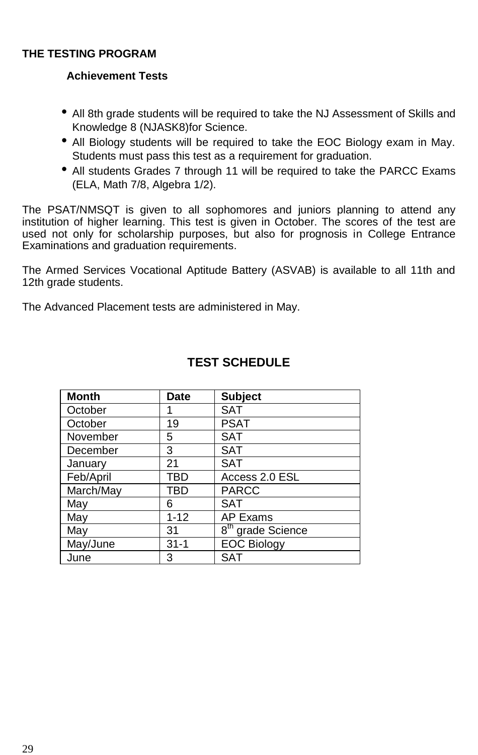### **THE TESTING PROGRAM**

### **Achievement Tests**

- All 8th grade students will be required to take the NJ Assessment of Skills and Knowledge 8 (NJASK8)for Science.
- All Biology students will be required to take the EOC Biology exam in May. Students must pass this test as a requirement for graduation.
- All students Grades 7 through 11 will be required to take the PARCC Exams (ELA, Math 7/8, Algebra 1/2).

The PSAT/NMSQT is given to all sophomores and juniors planning to attend any institution of higher learning. This test is given in October. The scores of the test are used not only for scholarship purposes, but also for prognosis in College Entrance Examinations and graduation requirements.

The Armed Services Vocational Aptitude Battery (ASVAB) is available to all 11th and 12th grade students.

The Advanced Placement tests are administered in May.

| <b>Month</b> | <b>Date</b> | <b>Subject</b>                           |
|--------------|-------------|------------------------------------------|
| October      |             | <b>SAT</b>                               |
| October      | 19          | <b>PSAT</b>                              |
| November     | 5           | <b>SAT</b>                               |
| December     | 3           | <b>SAT</b>                               |
| January      | 21          | <b>SAT</b>                               |
| Feb/April    | TBD         | Access 2.0 ESL                           |
| March/May    | TBD         | <b>PARCC</b>                             |
| May          | 6           | SAT                                      |
| May          | $1 - 12$    | AP Exams                                 |
| May          | 31          | $\overline{8}^{\text{th}}$ grade Science |
| May/June     | $31 - 1$    | <b>EOC Biology</b>                       |
| June         | 3           | SAT                                      |

### **TEST SCHEDULE**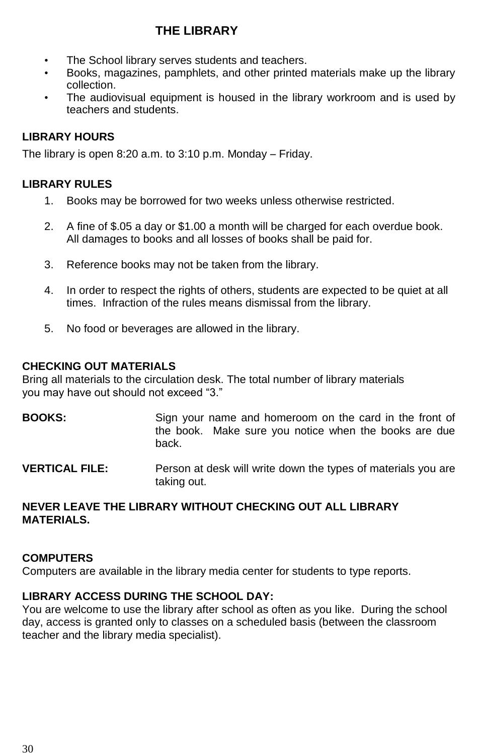### **THE LIBRARY**

- The School library serves students and teachers.
- Books, magazines, pamphlets, and other printed materials make up the library collection.
- The audiovisual equipment is housed in the library workroom and is used by teachers and students.

### **LIBRARY HOURS**

The library is open 8:20 a.m. to 3:10 p.m. Monday – Friday.

### **LIBRARY RULES**

- 1. Books may be borrowed for two weeks unless otherwise restricted.
- 2. A fine of \$.05 a day or \$1.00 a month will be charged for each overdue book. All damages to books and all losses of books shall be paid for.
- 3. Reference books may not be taken from the library.
- 4. In order to respect the rights of others, students are expected to be quiet at all times. Infraction of the rules means dismissal from the library.
- 5. No food or beverages are allowed in the library.

#### **CHECKING OUT MATERIALS**

Bring all materials to the circulation desk. The total number of library materials you may have out should not exceed "3."

**BOOKS:** Sign your name and homeroom on the card in the front of the book. Make sure you notice when the books are due back.

**VERTICAL FILE:** Person at desk will write down the types of materials you are taking out.

### **NEVER LEAVE THE LIBRARY WITHOUT CHECKING OUT ALL LIBRARY MATERIALS.**

### **COMPUTERS**

Computers are available in the library media center for students to type reports.

### **LIBRARY ACCESS DURING THE SCHOOL DAY:**

You are welcome to use the library after school as often as you like. During the school day, access is granted only to classes on a scheduled basis (between the classroom teacher and the library media specialist).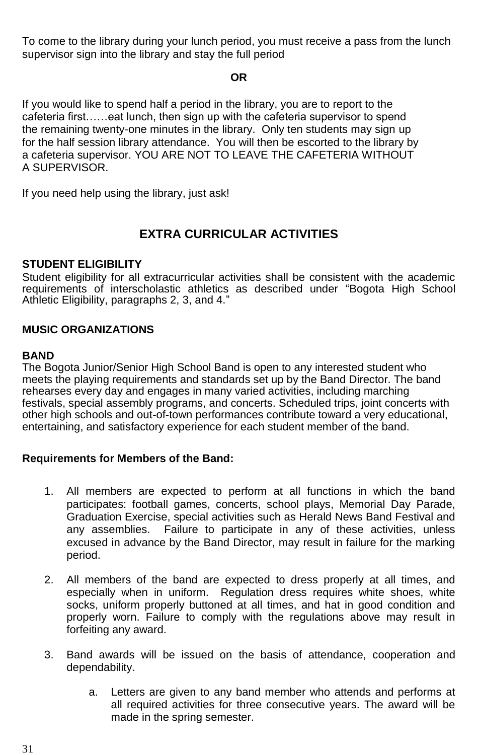To come to the library during your lunch period, you must receive a pass from the lunch supervisor sign into the library and stay the full period

### **OR**

If you would like to spend half a period in the library, you are to report to the cafeteria first……eat lunch, then sign up with the cafeteria supervisor to spend the remaining twenty-one minutes in the library. Only ten students may sign up for the half session library attendance. You will then be escorted to the library by a cafeteria supervisor. YOU ARE NOT TO LEAVE THE CAFETERIA WITHOUT A SUPERVISOR.

If you need help using the library, just ask!

### **EXTRA CURRICULAR ACTIVITIES**

### **STUDENT ELIGIBILITY**

Student eligibility for all extracurricular activities shall be consistent with the academic requirements of interscholastic athletics as described under "Bogota High School Athletic Eligibility, paragraphs 2, 3, and 4."

### **MUSIC ORGANIZATIONS**

#### **BAND**

The Bogota Junior/Senior High School Band is open to any interested student who meets the playing requirements and standards set up by the Band Director. The band rehearses every day and engages in many varied activities, including marching festivals, special assembly programs, and concerts. Scheduled trips, joint concerts with other high schools and out-of-town performances contribute toward a very educational, entertaining, and satisfactory experience for each student member of the band.

### **Requirements for Members of the Band:**

- 1. All members are expected to perform at all functions in which the band participates: football games, concerts, school plays, Memorial Day Parade, Graduation Exercise, special activities such as Herald News Band Festival and any assemblies. Failure to participate in any of these activities, unless excused in advance by the Band Director, may result in failure for the marking period.
- 2. All members of the band are expected to dress properly at all times, and especially when in uniform. Regulation dress requires white shoes, white socks, uniform properly buttoned at all times, and hat in good condition and properly worn. Failure to comply with the regulations above may result in forfeiting any award.
- 3. Band awards will be issued on the basis of attendance, cooperation and dependability.
	- a. Letters are given to any band member who attends and performs at all required activities for three consecutive years. The award will be made in the spring semester.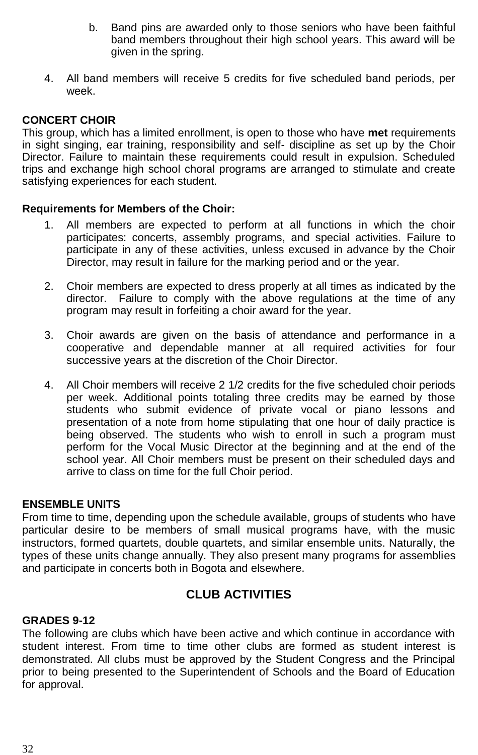- b. Band pins are awarded only to those seniors who have been faithful band members throughout their high school years. This award will be given in the spring.
- 4. All band members will receive 5 credits for five scheduled band periods, per week.

#### **CONCERT CHOIR**

This group, which has a limited enrollment, is open to those who have **met** requirements in sight singing, ear training, responsibility and self- discipline as set up by the Choir Director. Failure to maintain these requirements could result in expulsion. Scheduled trips and exchange high school choral programs are arranged to stimulate and create satisfying experiences for each student.

#### **Requirements for Members of the Choir:**

- 1. All members are expected to perform at all functions in which the choir participates: concerts, assembly programs, and special activities. Failure to participate in any of these activities, unless excused in advance by the Choir Director, may result in failure for the marking period and or the year.
- 2. Choir members are expected to dress properly at all times as indicated by the director. Failure to comply with the above regulations at the time of any program may result in forfeiting a choir award for the year.
- 3. Choir awards are given on the basis of attendance and performance in a cooperative and dependable manner at all required activities for four successive years at the discretion of the Choir Director.
- 4. All Choir members will receive 2 1/2 credits for the five scheduled choir periods per week. Additional points totaling three credits may be earned by those students who submit evidence of private vocal or piano lessons and presentation of a note from home stipulating that one hour of daily practice is being observed. The students who wish to enroll in such a program must perform for the Vocal Music Director at the beginning and at the end of the school year. All Choir members must be present on their scheduled days and arrive to class on time for the full Choir period.

### **ENSEMBLE UNITS**

From time to time, depending upon the schedule available, groups of students who have particular desire to be members of small musical programs have, with the music instructors, formed quartets, double quartets, and similar ensemble units. Naturally, the types of these units change annually. They also present many programs for assemblies and participate in concerts both in Bogota and elsewhere.

### **CLUB ACTIVITIES**

### **GRADES 9-12**

The following are clubs which have been active and which continue in accordance with student interest. From time to time other clubs are formed as student interest is demonstrated. All clubs must be approved by the Student Congress and the Principal prior to being presented to the Superintendent of Schools and the Board of Education for approval.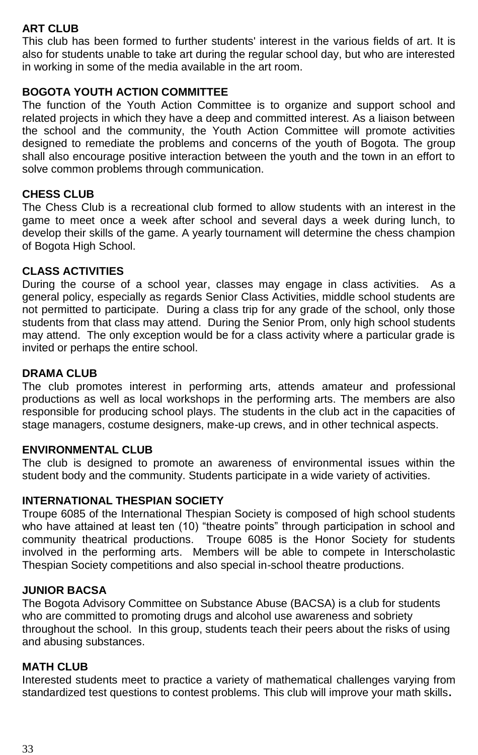### **ART CLUB**

This club has been formed to further students' interest in the various fields of art. It is also for students unable to take art during the regular school day, but who are interested in working in some of the media available in the art room.

### **BOGOTA YOUTH ACTION COMMITTEE**

The function of the Youth Action Committee is to organize and support school and related projects in which they have a deep and committed interest. As a liaison between the school and the community, the Youth Action Committee will promote activities designed to remediate the problems and concerns of the youth of Bogota. The group shall also encourage positive interaction between the youth and the town in an effort to solve common problems through communication.

### **CHESS CLUB**

The Chess Club is a recreational club formed to allow students with an interest in the game to meet once a week after school and several days a week during lunch, to develop their skills of the game. A yearly tournament will determine the chess champion of Bogota High School.

### **CLASS ACTIVITIES**

During the course of a school year, classes may engage in class activities. As a general policy, especially as regards Senior Class Activities, middle school students are not permitted to participate. During a class trip for any grade of the school, only those students from that class may attend. During the Senior Prom, only high school students may attend. The only exception would be for a class activity where a particular grade is invited or perhaps the entire school.

### **DRAMA CLUB**

The club promotes interest in performing arts, attends amateur and professional productions as well as local workshops in the performing arts. The members are also responsible for producing school plays. The students in the club act in the capacities of stage managers, costume designers, make-up crews, and in other technical aspects.

### **ENVIRONMENTAL CLUB**

The club is designed to promote an awareness of environmental issues within the student body and the community. Students participate in a wide variety of activities.

### **INTERNATIONAL THESPIAN SOCIETY**

Troupe 6085 of the International Thespian Society is composed of high school students who have attained at least ten (10) "theatre points" through participation in school and community theatrical productions. Troupe 6085 is the Honor Society for students involved in the performing arts. Members will be able to compete in Interscholastic Thespian Society competitions and also special in-school theatre productions.

### **JUNIOR BACSA**

The Bogota Advisory Committee on Substance Abuse (BACSA) is a club for students who are committed to promoting drugs and alcohol use awareness and sobriety throughout the school. In this group, students teach their peers about the risks of using and abusing substances.

### **MATH CLUB**

Interested students meet to practice a variety of mathematical challenges varying from standardized test questions to contest problems. This club will improve your math skills**.**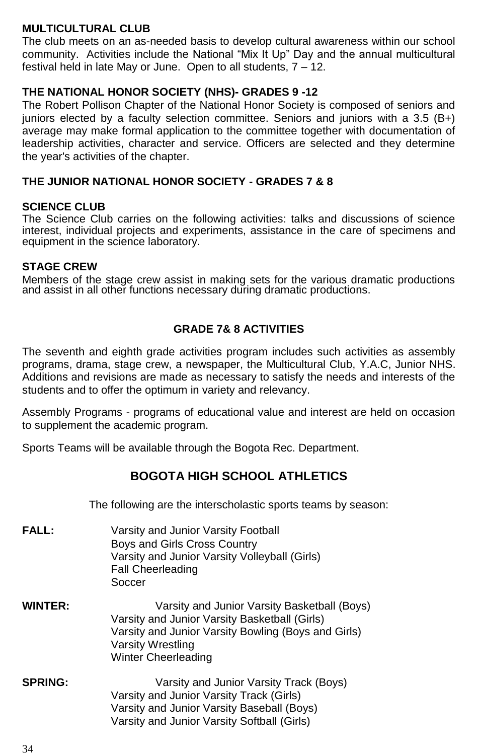### **MULTICULTURAL CLUB**

The club meets on an as-needed basis to develop cultural awareness within our school community. Activities include the National "Mix It Up" Day and the annual multicultural festival held in late May or June. Open to all students, 7 – 12.

### **THE NATIONAL HONOR SOCIETY (NHS)- GRADES 9 -12**

The Robert Pollison Chapter of the National Honor Society is composed of seniors and juniors elected by a faculty selection committee. Seniors and juniors with a 3.5 (B+) average may make formal application to the committee together with documentation of leadership activities, character and service. Officers are selected and they determine the year's activities of the chapter.

### **THE JUNIOR NATIONAL HONOR SOCIETY - GRADES 7 & 8**

#### **SCIENCE CLUB**

The Science Club carries on the following activities: talks and discussions of science interest, individual projects and experiments, assistance in the care of specimens and equipment in the science laboratory.

### **STAGE CREW**

Members of the stage crew assist in making sets for the various dramatic productions and assist in all other functions necessary during dramatic productions.

### **GRADE 7& 8 ACTIVITIES**

The seventh and eighth grade activities program includes such activities as assembly programs, drama, stage crew, a newspaper, the Multicultural Club, Y.A.C, Junior NHS. Additions and revisions are made as necessary to satisfy the needs and interests of the students and to offer the optimum in variety and relevancy.

Assembly Programs - programs of educational value and interest are held on occasion to supplement the academic program.

Sports Teams will be available through the Bogota Rec. Department.

### **BOGOTA HIGH SCHOOL ATHLETICS**

The following are the interscholastic sports teams by season:

- **FALL:** Varsity and Junior Varsity Football Boys and Girls Cross Country Varsity and Junior Varsity Volleyball (Girls) Fall Cheerleading **Soccer**
- **WINTER:** Varsity and Junior Varsity Basketball (Boys) Varsity and Junior Varsity Basketball (Girls) Varsity and Junior Varsity Bowling (Boys and Girls) Varsity Wrestling Winter Cheerleading
- **SPRING:** Varsity and Junior Varsity Track (Boys) Varsity and Junior Varsity Track (Girls) Varsity and Junior Varsity Baseball (Boys) Varsity and Junior Varsity Softball (Girls)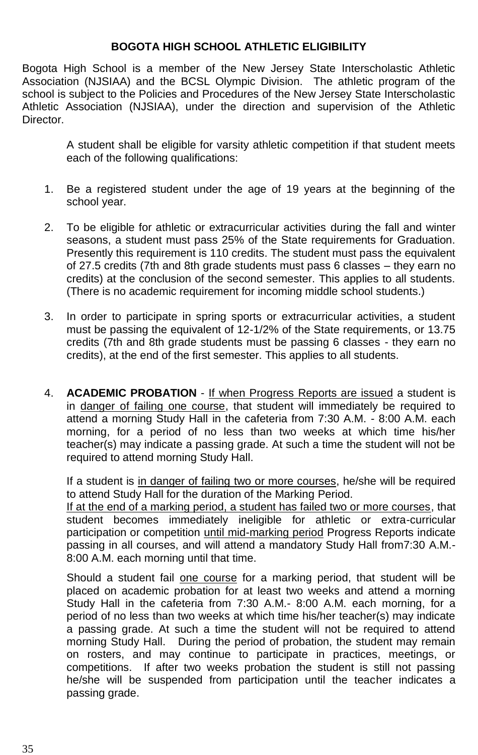### **BOGOTA HIGH SCHOOL ATHLETIC ELIGIBILITY**

Bogota High School is a member of the New Jersey State Interscholastic Athletic Association (NJSIAA) and the BCSL Olympic Division. The athletic program of the school is subject to the Policies and Procedures of the New Jersey State Interscholastic Athletic Association (NJSIAA), under the direction and supervision of the Athletic **Director** 

A student shall be eligible for varsity athletic competition if that student meets each of the following qualifications:

- 1. Be a registered student under the age of 19 years at the beginning of the school year.
- 2. To be eligible for athletic or extracurricular activities during the fall and winter seasons, a student must pass 25% of the State requirements for Graduation. Presently this requirement is 110 credits. The student must pass the equivalent of 27.5 credits (7th and 8th grade students must pass 6 classes – they earn no credits) at the conclusion of the second semester. This applies to all students. (There is no academic requirement for incoming middle school students.)
- 3. In order to participate in spring sports or extracurricular activities, a student must be passing the equivalent of 12-1/2% of the State requirements, or 13.75 credits (7th and 8th grade students must be passing 6 classes - they earn no credits), at the end of the first semester. This applies to all students.
- 4. **ACADEMIC PROBATION** If when Progress Reports are issued a student is in danger of failing one course, that student will immediately be required to attend a morning Study Hall in the cafeteria from 7:30 A.M. - 8:00 A.M. each morning, for a period of no less than two weeks at which time his/her teacher(s) may indicate a passing grade. At such a time the student will not be required to attend morning Study Hall.

If a student is in danger of failing two or more courses, he/she will be required to attend Study Hall for the duration of the Marking Period.

If at the end of a marking period, a student has failed two or more courses, that student becomes immediately ineligible for athletic or extra-curricular participation or competition until mid-marking period Progress Reports indicate passing in all courses, and will attend a mandatory Study Hall from7:30 A.M.- 8:00 A.M. each morning until that time.

Should a student fail one course for a marking period, that student will be placed on academic probation for at least two weeks and attend a morning Study Hall in the cafeteria from 7:30 A.M.- 8:00 A.M. each morning, for a period of no less than two weeks at which time his/her teacher(s) may indicate a passing grade. At such a time the student will not be required to attend morning Study Hall. During the period of probation, the student may remain on rosters, and may continue to participate in practices, meetings, or competitions. If after two weeks probation the student is still not passing he/she will be suspended from participation until the teacher indicates a passing grade.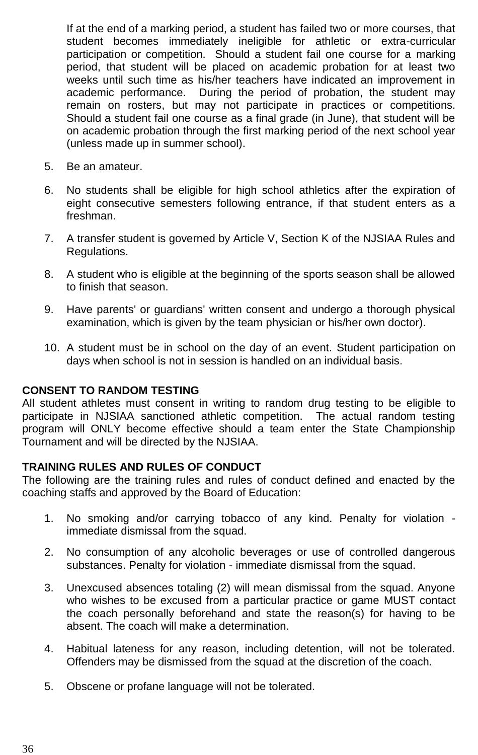If at the end of a marking period, a student has failed two or more courses, that student becomes immediately ineligible for athletic or extra-curricular participation or competition. Should a student fail one course for a marking period, that student will be placed on academic probation for at least two weeks until such time as his/her teachers have indicated an improvement in academic performance. During the period of probation, the student may remain on rosters, but may not participate in practices or competitions. Should a student fail one course as a final grade (in June), that student will be on academic probation through the first marking period of the next school year (unless made up in summer school).

- 5. Be an amateur.
- 6. No students shall be eligible for high school athletics after the expiration of eight consecutive semesters following entrance, if that student enters as a freshman.
- 7. A transfer student is governed by Article V, Section K of the NJSIAA Rules and Regulations.
- 8. A student who is eligible at the beginning of the sports season shall be allowed to finish that season.
- 9. Have parents' or guardians' written consent and undergo a thorough physical examination, which is given by the team physician or his/her own doctor).
- 10. A student must be in school on the day of an event. Student participation on days when school is not in session is handled on an individual basis.

#### **CONSENT TO RANDOM TESTING**

All student athletes must consent in writing to random drug testing to be eligible to participate in NJSIAA sanctioned athletic competition. The actual random testing program will ONLY become effective should a team enter the State Championship Tournament and will be directed by the NJSIAA.

#### **TRAINING RULES AND RULES OF CONDUCT**

The following are the training rules and rules of conduct defined and enacted by the coaching staffs and approved by the Board of Education:

- 1. No smoking and/or carrying tobacco of any kind. Penalty for violation immediate dismissal from the squad.
- 2. No consumption of any alcoholic beverages or use of controlled dangerous substances. Penalty for violation - immediate dismissal from the squad.
- 3. Unexcused absences totaling (2) will mean dismissal from the squad. Anyone who wishes to be excused from a particular practice or game MUST contact the coach personally beforehand and state the reason(s) for having to be absent. The coach will make a determination.
- 4. Habitual lateness for any reason, including detention, will not be tolerated. Offenders may be dismissed from the squad at the discretion of the coach.
- 5. Obscene or profane language will not be tolerated.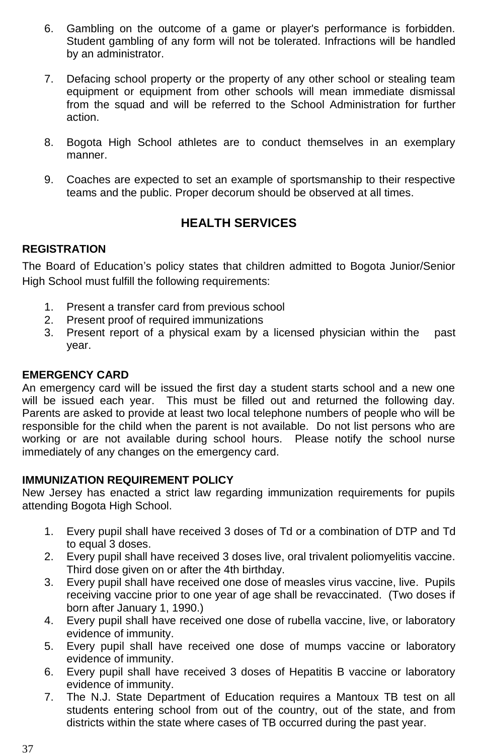- 6. Gambling on the outcome of a game or player's performance is forbidden. Student gambling of any form will not be tolerated. Infractions will be handled by an administrator.
- 7. Defacing school property or the property of any other school or stealing team equipment or equipment from other schools will mean immediate dismissal from the squad and will be referred to the School Administration for further action.
- 8. Bogota High School athletes are to conduct themselves in an exemplary manner.
- 9. Coaches are expected to set an example of sportsmanship to their respective teams and the public. Proper decorum should be observed at all times.

### **HEALTH SERVICES**

### **REGISTRATION**

The Board of Education's policy states that children admitted to Bogota Junior/Senior High School must fulfill the following requirements:

- 1. Present a transfer card from previous school
- 2. Present proof of required immunizations
- 3. Present report of a physical exam by a licensed physician within the past year.

### **EMERGENCY CARD**

An emergency card will be issued the first day a student starts school and a new one will be issued each year. This must be filled out and returned the following day. Parents are asked to provide at least two local telephone numbers of people who will be responsible for the child when the parent is not available. Do not list persons who are working or are not available during school hours. Please notify the school nurse immediately of any changes on the emergency card.

### **IMMUNIZATION REQUIREMENT POLICY**

New Jersey has enacted a strict law regarding immunization requirements for pupils attending Bogota High School.

- 1. Every pupil shall have received 3 doses of Td or a combination of DTP and Td to equal 3 doses.
- 2. Every pupil shall have received 3 doses live, oral trivalent poliomyelitis vaccine. Third dose given on or after the 4th birthday.
- 3. Every pupil shall have received one dose of measles virus vaccine, live. Pupils receiving vaccine prior to one year of age shall be revaccinated. (Two doses if born after January 1, 1990.)
- 4. Every pupil shall have received one dose of rubella vaccine, live, or laboratory evidence of immunity.
- 5. Every pupil shall have received one dose of mumps vaccine or laboratory evidence of immunity.
- 6. Every pupil shall have received 3 doses of Hepatitis B vaccine or laboratory evidence of immunity.
- 7. The N.J. State Department of Education requires a Mantoux TB test on all students entering school from out of the country, out of the state, and from districts within the state where cases of TB occurred during the past year.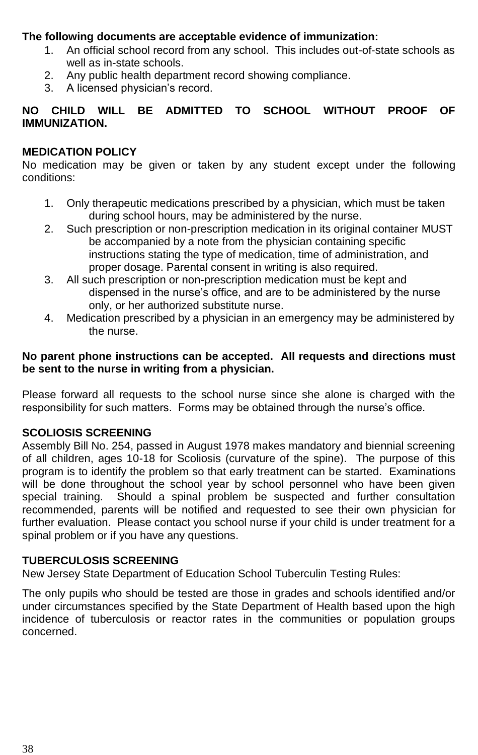### **The following documents are acceptable evidence of immunization:**

- 1. An official school record from any school. This includes out-of-state schools as well as in-state schools.
- 2. Any public health department record showing compliance.
- 3. A licensed physician's record.

### **NO CHILD WILL BE ADMITTED TO SCHOOL WITHOUT PROOF OF IMMUNIZATION.**

### **MEDICATION POLICY**

No medication may be given or taken by any student except under the following conditions:

- 1. Only therapeutic medications prescribed by a physician, which must be taken during school hours, may be administered by the nurse.
- 2. Such prescription or non-prescription medication in its original container MUST be accompanied by a note from the physician containing specific instructions stating the type of medication, time of administration, and proper dosage. Parental consent in writing is also required.
- 3. All such prescription or non-prescription medication must be kept and dispensed in the nurse's office, and are to be administered by the nurse only, or her authorized substitute nurse.
- 4. Medication prescribed by a physician in an emergency may be administered by the nurse.

### **No parent phone instructions can be accepted. All requests and directions must be sent to the nurse in writing from a physician.**

Please forward all requests to the school nurse since she alone is charged with the responsibility for such matters. Forms may be obtained through the nurse's office.

### **SCOLIOSIS SCREENING**

Assembly Bill No. 254, passed in August 1978 makes mandatory and biennial screening of all children, ages 10-18 for Scoliosis (curvature of the spine). The purpose of this program is to identify the problem so that early treatment can be started. Examinations will be done throughout the school year by school personnel who have been given special training. Should a spinal problem be suspected and further consultation recommended, parents will be notified and requested to see their own physician for further evaluation. Please contact you school nurse if your child is under treatment for a spinal problem or if you have any questions.

### **TUBERCULOSIS SCREENING**

New Jersey State Department of Education School Tuberculin Testing Rules:

The only pupils who should be tested are those in grades and schools identified and/or under circumstances specified by the State Department of Health based upon the high incidence of tuberculosis or reactor rates in the communities or population groups concerned.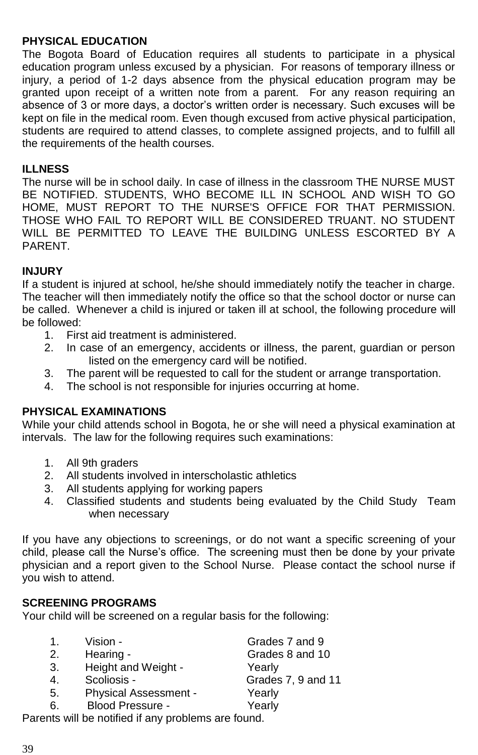### **PHYSICAL EDUCATION**

The Bogota Board of Education requires all students to participate in a physical education program unless excused by a physician. For reasons of temporary illness or injury, a period of 1-2 days absence from the physical education program may be granted upon receipt of a written note from a parent. For any reason requiring an absence of 3 or more days, a doctor's written order is necessary. Such excuses will be kept on file in the medical room. Even though excused from active physical participation, students are required to attend classes, to complete assigned projects, and to fulfill all the requirements of the health courses.

#### **ILLNESS**

The nurse will be in school daily. In case of illness in the classroom THE NURSE MUST BE NOTIFIED. STUDENTS, WHO BECOME ILL IN SCHOOL AND WISH TO GO HOME, MUST REPORT TO THE NURSE'S OFFICE FOR THAT PERMISSION. THOSE WHO FAIL TO REPORT WILL BE CONSIDERED TRUANT. NO STUDENT WILL BE PERMITTED TO LEAVE THE BUILDING UNLESS ESCORTED BY A PARENT.

### **INJURY**

If a student is injured at school, he/she should immediately notify the teacher in charge. The teacher will then immediately notify the office so that the school doctor or nurse can be called. Whenever a child is injured or taken ill at school, the following procedure will be followed:

- 1. First aid treatment is administered.
- 2. In case of an emergency, accidents or illness, the parent, guardian or person listed on the emergency card will be notified.
- 3. The parent will be requested to call for the student or arrange transportation.
- 4. The school is not responsible for injuries occurring at home.

#### **PHYSICAL EXAMINATIONS**

While your child attends school in Bogota, he or she will need a physical examination at intervals. The law for the following requires such examinations:

- 1. All 9th graders
- 2. All students involved in interscholastic athletics
- 3. All students applying for working papers
- 4. Classified students and students being evaluated by the Child Study Team when necessary

If you have any objections to screenings, or do not want a specific screening of your child, please call the Nurse's office. The screening must then be done by your private physician and a report given to the School Nurse. Please contact the school nurse if you wish to attend.

### **SCREENING PROGRAMS**

Your child will be screened on a regular basis for the following:

| 1. | Vision -                                            | Grades 7 and 9     |
|----|-----------------------------------------------------|--------------------|
| 2. | Hearing -                                           | Grades 8 and 10    |
| 3. | Height and Weight -                                 | Yearly             |
| 4. | Scoliosis -                                         | Grades 7, 9 and 11 |
| 5. | Physical Assessment -                               | Yearly             |
| 6. | Blood Pressure -                                    | Yearly             |
|    | Parents will be notified if any problems are found. |                    |
|    |                                                     |                    |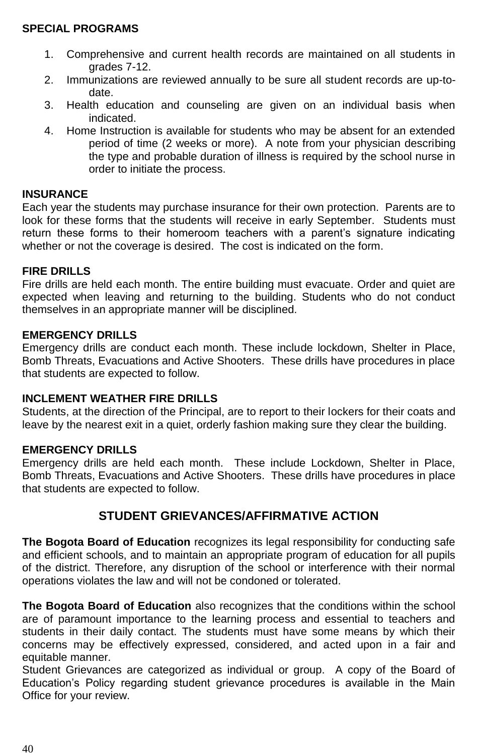### **SPECIAL PROGRAMS**

- 1. Comprehensive and current health records are maintained on all students in grades 7-12.
- 2. Immunizations are reviewed annually to be sure all student records are up-todate.
- 3. Health education and counseling are given on an individual basis when indicated.
- 4. Home Instruction is available for students who may be absent for an extended period of time (2 weeks or more). A note from your physician describing the type and probable duration of illness is required by the school nurse in order to initiate the process.

### **INSURANCE**

Each year the students may purchase insurance for their own protection. Parents are to look for these forms that the students will receive in early September. Students must return these forms to their homeroom teachers with a parent's signature indicating whether or not the coverage is desired. The cost is indicated on the form.

### **FIRE DRILLS**

Fire drills are held each month. The entire building must evacuate. Order and quiet are expected when leaving and returning to the building. Students who do not conduct themselves in an appropriate manner will be disciplined.

### **EMERGENCY DRILLS**

Emergency drills are conduct each month. These include lockdown, Shelter in Place, Bomb Threats, Evacuations and Active Shooters. These drills have procedures in place that students are expected to follow.

### **INCLEMENT WEATHER FIRE DRILLS**

Students, at the direction of the Principal, are to report to their lockers for their coats and leave by the nearest exit in a quiet, orderly fashion making sure they clear the building.

### **EMERGENCY DRILLS**

Emergency drills are held each month. These include Lockdown, Shelter in Place, Bomb Threats, Evacuations and Active Shooters. These drills have procedures in place that students are expected to follow.

### **STUDENT GRIEVANCES/AFFIRMATIVE ACTION**

**The Bogota Board of Education** recognizes its legal responsibility for conducting safe and efficient schools, and to maintain an appropriate program of education for all pupils of the district. Therefore, any disruption of the school or interference with their normal operations violates the law and will not be condoned or tolerated.

**The Bogota Board of Education** also recognizes that the conditions within the school are of paramount importance to the learning process and essential to teachers and students in their daily contact. The students must have some means by which their concerns may be effectively expressed, considered, and acted upon in a fair and equitable manner.

Student Grievances are categorized as individual or group. A copy of the Board of Education's Policy regarding student grievance procedures is available in the Main Office for your review.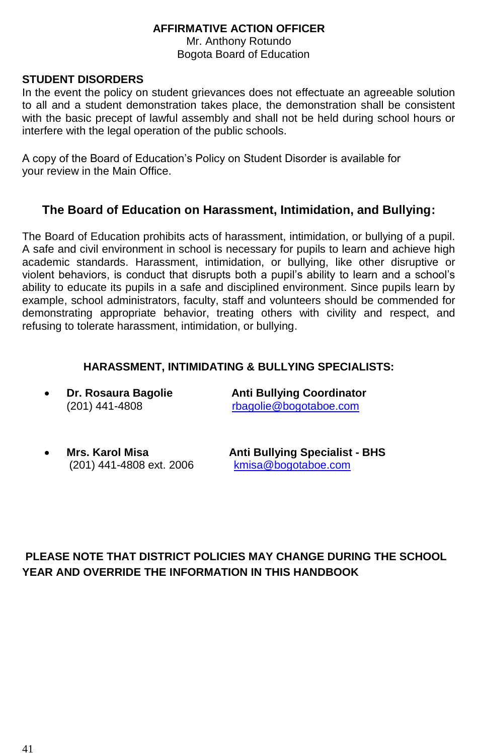### **AFFIRMATIVE ACTION OFFICER**

Mr. Anthony Rotundo Bogota Board of Education

### **STUDENT DISORDERS**

In the event the policy on student grievances does not effectuate an agreeable solution to all and a student demonstration takes place, the demonstration shall be consistent with the basic precept of lawful assembly and shall not be held during school hours or interfere with the legal operation of the public schools.

A copy of the Board of Education's Policy on Student Disorder is available for your review in the Main Office.

### **The Board of Education on Harassment, Intimidation, and Bullying:**

The Board of Education prohibits acts of harassment, intimidation, or bullying of a pupil. A safe and civil environment in school is necessary for pupils to learn and achieve high academic standards. Harassment, intimidation, or bullying, like other disruptive or violent behaviors, is conduct that disrupts both a pupil's ability to learn and a school's ability to educate its pupils in a safe and disciplined environment. Since pupils learn by example, school administrators, faculty, staff and volunteers should be commended for demonstrating appropriate behavior, treating others with civility and respect, and refusing to tolerate harassment, intimidation, or bullying.

### **HARASSMENT, INTIMIDATING & BULLYING SPECIALISTS:**

 **Dr. Rosaura Bagolie Anti Bullying Coordinator** (201) 441-4808 [rbagolie@bogotaboe.com](mailto:rbagolie@bogotaboe.com)

(201) 441-4808 ext. 2006

**Mrs. Karol Misa Anti Bullying Specialist - BHS**

### **PLEASE NOTE THAT DISTRICT POLICIES MAY CHANGE DURING THE SCHOOL YEAR AND OVERRIDE THE INFORMATION IN THIS HANDBOOK**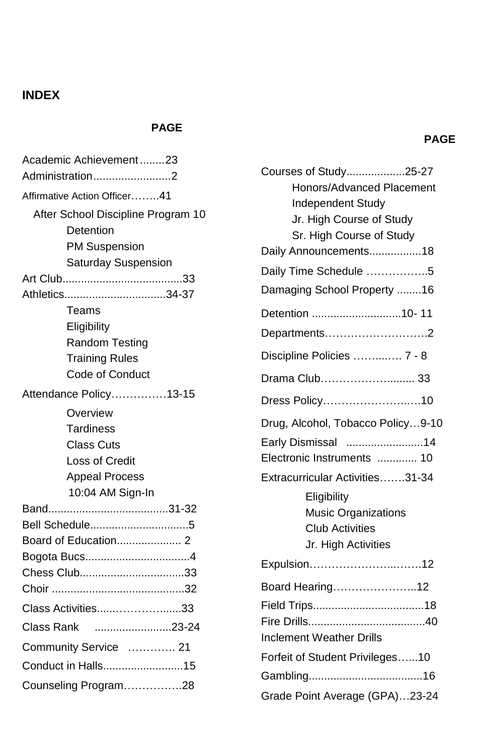### **INDEX**

### **PAGE**

| Academic Achievement23                                                                         |  |  |  |
|------------------------------------------------------------------------------------------------|--|--|--|
| Administration2                                                                                |  |  |  |
| Affirmative Action Officer41                                                                   |  |  |  |
| After School Discipline Program 10<br>Detention<br>PM Suspension<br><b>Saturday Suspension</b> |  |  |  |
|                                                                                                |  |  |  |
| Athletics34-37                                                                                 |  |  |  |
| Teams                                                                                          |  |  |  |
| Eligibility                                                                                    |  |  |  |
| Random Testing                                                                                 |  |  |  |
| <b>Training Rules</b>                                                                          |  |  |  |
| Code of Conduct                                                                                |  |  |  |
| Attendance Policy13-15                                                                         |  |  |  |
| Overview                                                                                       |  |  |  |
| Tardiness                                                                                      |  |  |  |
| <b>Class Cuts</b>                                                                              |  |  |  |
| <b>Loss of Credit</b>                                                                          |  |  |  |
| <b>Appeal Process</b>                                                                          |  |  |  |
| 10:04 AM Sign-In                                                                               |  |  |  |
|                                                                                                |  |  |  |
| Bell Schedule5                                                                                 |  |  |  |
| Board of Education 2                                                                           |  |  |  |
| Bogota Bucs4<br>Chess Club33                                                                   |  |  |  |
|                                                                                                |  |  |  |
|                                                                                                |  |  |  |
| Class Activities33                                                                             |  |  |  |
| 23-24<br>Class Rank                                                                            |  |  |  |
| Community Service  21                                                                          |  |  |  |
| Conduct in Halls15                                                                             |  |  |  |
| Counseling Program28                                                                           |  |  |  |

| Courses of Study25-27             |  |
|-----------------------------------|--|
| Honors/Advanced Placement         |  |
| <b>Independent Study</b>          |  |
| Jr. High Course of Study          |  |
| Sr. High Course of Study          |  |
| Daily Announcements18             |  |
| Daily Time Schedule 5             |  |
| Damaging School Property 16       |  |
| Detention 10-11                   |  |
| Departments2                      |  |
| Discipline Policies  7 - 8        |  |
| Drama Club 33                     |  |
| Dress Policy10                    |  |
| Drug, Alcohol, Tobacco Policy9-10 |  |
| Early Dismissal 14                |  |
| Electronic Instruments  10        |  |
| Extracurricular Activities31-34   |  |
| Eligibility                       |  |
| Music Organizations               |  |
| <b>Club Activities</b>            |  |
| Jr. High Activities               |  |
| Expulsion12                       |  |
| Board Hearing12                   |  |
|                                   |  |
|                                   |  |
| <b>Inclement Weather Drills</b>   |  |
| Forfeit of Student Privileges10   |  |
|                                   |  |
| Grade Point Average (GPA)23-24    |  |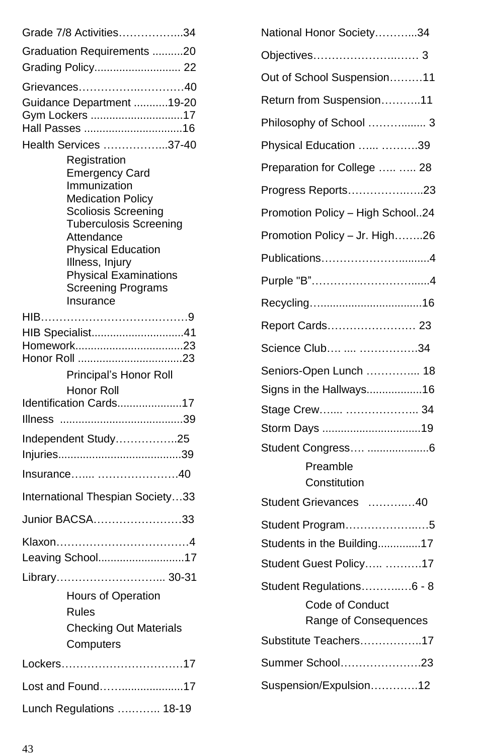| Grade 7/8 Activities34                                                                                                                                                                                                                                               |
|----------------------------------------------------------------------------------------------------------------------------------------------------------------------------------------------------------------------------------------------------------------------|
| Graduation Requirements 20                                                                                                                                                                                                                                           |
| Grading Policy 22                                                                                                                                                                                                                                                    |
| Grievances40                                                                                                                                                                                                                                                         |
| Guidance Department 19-20<br>Gym Lockers 17                                                                                                                                                                                                                          |
| Health Services 37-40                                                                                                                                                                                                                                                |
| Registration<br><b>Emergency Card</b><br>Immunization<br><b>Medication Policy</b><br>Scoliosis Screening<br><b>Tuberculosis Screening</b><br>Attendance<br><b>Physical Education</b><br>Illness, Injury<br><b>Physical Examinations</b><br><b>Screening Programs</b> |
| Insurance                                                                                                                                                                                                                                                            |
| HIB Specialist41                                                                                                                                                                                                                                                     |
| Principal's Honor Roll                                                                                                                                                                                                                                               |
| Honor Roll<br>Identification Cards17                                                                                                                                                                                                                                 |
|                                                                                                                                                                                                                                                                      |
| Independent Study25                                                                                                                                                                                                                                                  |
| Insurance 40                                                                                                                                                                                                                                                         |
| International Thespian Society33                                                                                                                                                                                                                                     |
| Junior BACSA33                                                                                                                                                                                                                                                       |
| Leaving School17                                                                                                                                                                                                                                                     |
| Library 30-31                                                                                                                                                                                                                                                        |
| Hours of Operation<br><b>Rules</b><br><b>Checking Out Materials</b><br>Computers                                                                                                                                                                                     |
| Lockers17                                                                                                                                                                                                                                                            |
| Lost and Found17                                                                                                                                                                                                                                                     |
| Lunch Regulations  18-19                                                                                                                                                                                                                                             |

| National Honor Society34         |
|----------------------------------|
|                                  |
| Out of School Suspension11       |
| Return from Suspension11         |
| Philosophy of School  3          |
| Physical Education  39           |
| Preparation for College   28     |
| Progress Reports23               |
| Promotion Policy - High School24 |
| Promotion Policy - Jr. High26    |
|                                  |
|                                  |
|                                  |
| Report Cards 23                  |
| Science Club  34                 |
| Seniors-Open Lunch  18           |
| Signs in the Hallways16          |
| Stage Crew  34                   |
| Storm Days 19                    |
|                                  |
| Student Congress 6               |
| Preamble                         |
| Constitution                     |
| Student Grievances 40            |
| Student Program5                 |
| Students in the Building17       |
| Student Guest Policy 17          |
| Student Regulations6 - 8         |
| Code of Conduct                  |
| Range of Consequences            |
| Substitute Teachers17            |
| Summer School23                  |